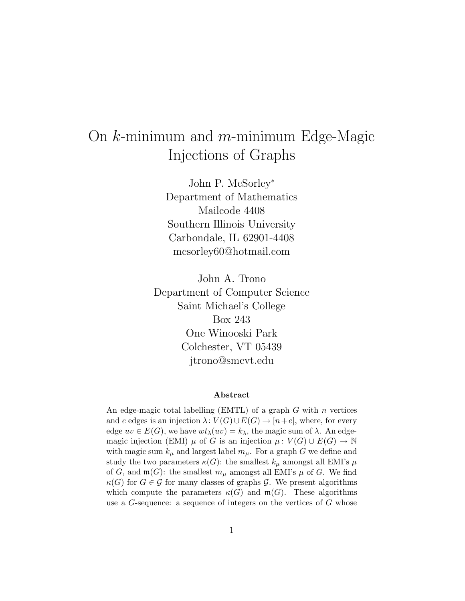# On *k*-minimum and *m*-minimum Edge-Magic Injections of Graphs

John P. McSorley<sup>∗</sup> Department of Mathematics Mailcode 4408 Southern Illinois University Carbondale, IL 62901-4408 mcsorley60@hotmail.com

John A. Trono Department of Computer Science Saint Michael's College Box 243 One Winooski Park Colchester, VT 05439 jtrono@smcvt.edu

#### **Abstract**

An edge-magic total labelling (EMTL) of a graph  $G$  with  $n$  vertices and e edges is an injection  $\lambda: V(G) \cup E(G) \rightarrow [n+e]$ , where, for every edge  $uv \in E(G)$ , we have  $wt_{\lambda}(uv) = k_{\lambda}$ , the magic sum of  $\lambda$ . An edgemagic injection (EMI)  $\mu$  of G is an injection  $\mu: V(G) \cup E(G) \rightarrow \mathbb{N}$ with magic sum  $k_{\mu}$  and largest label  $m_{\mu}$ . For a graph G we define and study the two parameters  $\kappa(G)$ : the smallest  $k_{\mu}$  amongst all EMI's  $\mu$ of G, and  $\mathfrak{m}(G)$ : the smallest  $m_{\mu}$  amongst all EMI's  $\mu$  of G. We find  $\kappa(G)$  for  $G \in \mathcal{G}$  for many classes of graphs  $\mathcal{G}$ . We present algorithms which compute the parameters  $\kappa(G)$  and  $\mathfrak{m}(G)$ . These algorithms use a G-sequence: a sequence of integers on the vertices of G whose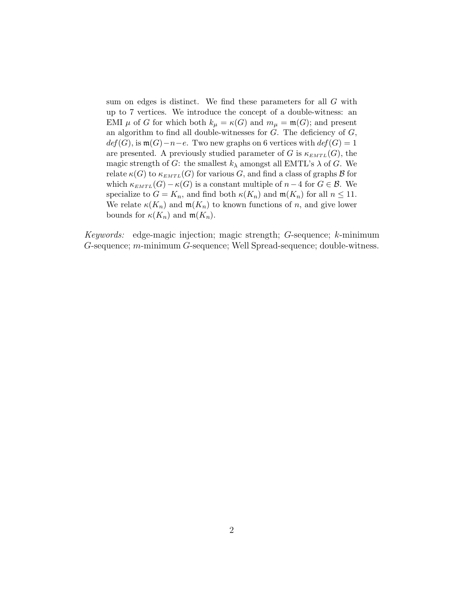sum on edges is distinct. We find these parameters for all G with up to 7 vertices. We introduce the concept of a double-witness: an EMI  $\mu$  of G for which both  $k_{\mu} = \kappa(G)$  and  $m_{\mu} = \mathfrak{m}(G)$ ; and present an algorithm to find all double-witnesses for  $G$ . The deficiency of  $G$ ,  $def(G)$ , is  $\mathfrak{m}(G)-n-e$ . Two new graphs on 6 vertices with  $def(G)=1$ are presented. A previously studied parameter of G is  $\kappa_{EMTL}(G)$ , the magic strength of G: the smallest  $k_{\lambda}$  amongst all EMTL's  $\lambda$  of G. We relate  $\kappa(G)$  to  $\kappa_{EMTL}(G)$  for various G, and find a class of graphs  $\beta$  for which  $\kappa_{EMTL}(G) - \kappa(G)$  is a constant multiple of  $n-4$  for  $G \in \mathcal{B}$ . We specialize to  $G = K_n$ , and find both  $\kappa(K_n)$  and  $\mathfrak{m}(K_n)$  for all  $n \leq 11$ . We relate  $\kappa(K_n)$  and  $\mathfrak{m}(K_n)$  to known functions of n, and give lower bounds for  $\kappa(K_n)$  and  $\mathfrak{m}(K_n)$ .

*Keywords:* edge-magic injection; magic strength; *G*-sequence; *k*-minimum *G*-sequence; *m*-minimum *G*-sequence; Well Spread-sequence; double-witness.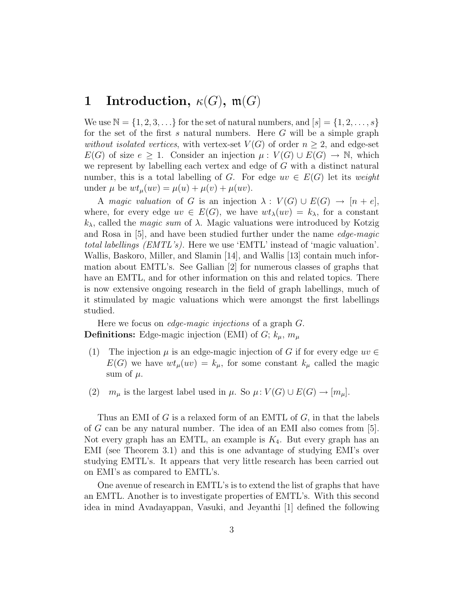# **1** Introduction,  $\kappa(G)$ ,  $\mathfrak{m}(G)$

We use  $\mathbb{N} = \{1, 2, 3, ...\}$  for the set of natural numbers, and  $[s] = \{1, 2, ..., s\}$ for the set of the first *s* natural numbers. Here *G* will be a simple graph *without isolated vertices*, with vertex-set  $V(G)$  of order  $n \geq 2$ , and edge-set *E*(*G*) of size  $e \geq 1$ . Consider an injection  $\mu : V(G) \cup E(G) \rightarrow \mathbb{N}$ , which we represent by labelling each vertex and edge of *G* with a distinct natural number, this is a total labelling of *G*. For edge  $uv \in E(G)$  let its *weight* under  $\mu$  be  $wt_{\mu}(uv) = \mu(u) + \mu(v) + \mu(uv)$ .

A *magic valuation* of *G* is an injection  $\lambda : V(G) \cup E(G) \rightarrow [n + e],$ where, for every edge  $uv \in E(G)$ , we have  $wt_{\lambda}(uv) = k_{\lambda}$ , for a constant *kλ*, called the *magic sum* of *λ*. Magic valuations were introduced by Kotzig and Rosa in [5], and have been studied further under the name *edge-magic total labellings (EMTL's)*. Here we use 'EMTL' instead of 'magic valuation'. Wallis, Baskoro, Miller, and Slamin [14], and Wallis [13] contain much information about EMTL's. See Gallian [2] for numerous classes of graphs that have an EMTL, and for other information on this and related topics. There is now extensive ongoing research in the field of graph labellings, much of it stimulated by magic valuations which were amongst the first labellings studied.

Here we focus on *edge-magic injections* of a graph *G*. **Definitions:** Edge-magic injection (EMI) of  $G$ ;  $k_{\mu}$ ,  $m_{\mu}$ 

- (1) The injection  $\mu$  is an edge-magic injection of *G* if for every edge  $uv \in$  $E(G)$  we have  $wt_{\mu}(uv) = k_{\mu}$ , for some constant  $k_{\mu}$  called the magic sum of  $\mu$ .
- (2)  $m_{\mu}$  is the largest label used in  $\mu$ . So  $\mu$ :  $V(G) \cup E(G) \rightarrow [m_{\mu}]$ .

Thus an EMI of *G* is a relaxed form of an EMTL of *G*, in that the labels of *G* can be any natural number. The idea of an EMI also comes from [5]. Not every graph has an EMTL, an example is *K*4. But every graph has an EMI (see Theorem 3.1) and this is one advantage of studying EMI's over studying EMTL's. It appears that very little research has been carried out on EMI's as compared to EMTL's.

One avenue of research in EMTL's is to extend the list of graphs that have an EMTL. Another is to investigate properties of EMTL's. With this second idea in mind Avadayappan, Vasuki, and Jeyanthi [1] defined the following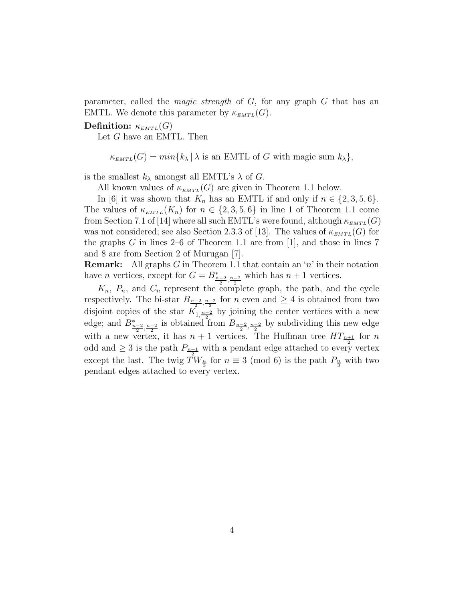parameter, called the *magic strength* of *G*, for any graph *G* that has an EMTL. We denote this parameter by  $\kappa_{EMTL}(G)$ .

**Definition:**  $\kappa_{EMTL}(G)$ 

Let *G* have an EMTL. Then

 $\kappa_{\text{EMTL}}(G) = \min\{k_{\lambda} | \lambda \text{ is an EMTL of } G \text{ with magic sum } k_{\lambda}\},$ 

is the smallest  $k_{\lambda}$  amongst all EMTL's  $\lambda$  of *G*.

All known values of  $\kappa_{EMTL}(G)$  are given in Theorem 1.1 below.

In [6] it was shown that  $K_n$  has an EMTL if and only if  $n \in \{2, 3, 5, 6\}.$ The values of  $\kappa_{EMTL}(K_n)$  for  $n \in \{2,3,5,6\}$  in line 1 of Theorem 1.1 come from Section 7.1 of [14] where all such EMTL's were found, although  $\kappa_{EMTL}(G)$ was not considered; see also Section 2.3.3 of [13]. The values of  $\kappa_{EMTL}(G)$  for the graphs  $G$  in lines 2–6 of Theorem 1.1 are from  $[1]$ , and those in lines 7 and 8 are from Section 2 of Murugan [7].

**Remark:** All graphs *G* in Theorem 1.1 that contain an '*n*' in their notation have *n* vertices, except for  $G = B_{\frac{n-2}{2}, \frac{n-2}{2}}^*$  which has  $n+1$  vertices.

 $K_n$ ,  $P_n$ , and  $C_n$  represent the complete graph, the path, and the cycle respectively. The bi-star  $B_{\frac{n-2}{2},\frac{n-2}{2}}$  for *n* even and  $\geq 4$  is obtained from two disjoint copies of the star  $K_{1,\frac{n-2}{2}}$  by joining the center vertices with a new edge; and  $B_{\frac{n-2}{2},\frac{n-2}{2}}^*$  is obtained from  $B_{\frac{n-2}{2},\frac{n-2}{2}}$  by subdividing this new edge with a new vertex, it has  $n + 1$  vertices. The Huffman tree  $HT_{n+1}$  for n odd and  $\geq 3$  is the path  $P_{n+1}$  with a pendant edge attached to every vertex except the last. The twig  $\hat{T}W_{\frac{n}{3}}$  for  $n \equiv 3 \pmod{6}$  is the path  $P_{\frac{n}{3}}$  with two pendant edges attached to every vertex.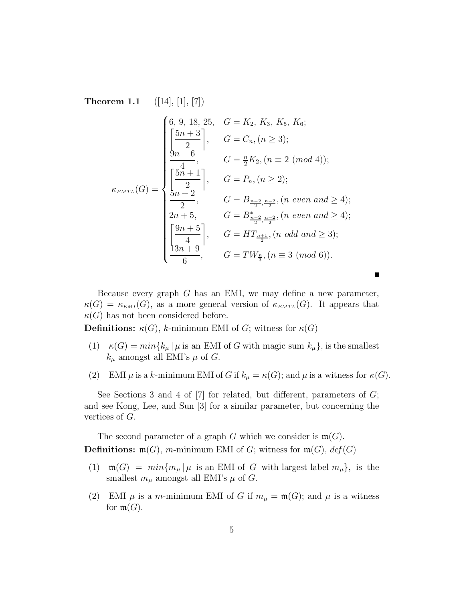**Theorem 1.1** ([14], [1], [7])

$$
\kappa_{EMTL}(G) = \begin{cases}\n6, 9, 18, 25, & G = K_2, K_3, K_5, K_6; \\
\left[\frac{5n+3}{2}\right], & G = C_n, (n \ge 3); \\
\frac{9n+6}{4}, & G = \frac{n}{2}K_2, (n \equiv 2 \pmod{4}); \\
\left[\frac{5n+1}{2}\right], & G = P_n, (n \ge 2); \\
\frac{2n+2}{2}, & G = B_{\frac{n-2}{2}, \frac{n-2}{2}}, (n \text{ even and } \ge 4); \\
2n+5, & G = B_{\frac{n-2}{2}, \frac{n-2}{2}}, (n \text{ even and } \ge 4); \\
\left[\frac{9n+5}{4}\right], & G = HT_{\frac{n+1}{2}}, (n \text{ odd and } \ge 3); \\
\frac{13n+9}{6}, & G = TW_{\frac{n}{3}}, (n \equiv 3 \pmod{6}).\n\end{cases}
$$

Because every graph *G* has an EMI, we may define a new parameter,  $\kappa(G) = \kappa_{EMI}(G)$ , as a more general version of  $\kappa_{EMTL}(G)$ . It appears that  $\kappa(G)$  has not been considered before.

**Definitions:**  $\kappa(G)$ , *k*-minimum EMI of *G*; witness for  $\kappa(G)$ 

- (1)  $\kappa(G) = \min\{k_\mu | \mu \text{ is an EMI of } G \text{ with magic sum } k_\mu\}$ , is the smallest  $k_{\mu}$  amongst all EMI's  $\mu$  of *G*.
- (2) EMI  $\mu$  is a *k*-minimum EMI of *G* if  $k_{\mu} = \kappa(G)$ ; and  $\mu$  is a witness for  $\kappa(G)$ .

See Sections 3 and 4 of [7] for related, but different, parameters of *G*; and see Kong, Lee, and Sun [3] for a similar parameter, but concerning the vertices of *G*.

The second parameter of a graph *G* which we consider is  $\mathfrak{m}(G)$ . **Definitions:**  $\mathfrak{m}(G)$ , *m*-minimum EMI of *G*; witness for  $\mathfrak{m}(G)$ , *def*(*G*)

- (1)  $\mathfrak{m}(G) = min\{m_\mu | \mu \text{ is an EMI of } G \text{ with largest label } m_\mu\},\text{ is the }$ smallest  $m_{\mu}$  amongst all EMI's  $\mu$  of *G*.
- (2) EMI  $\mu$  is a *m*-minimum EMI of *G* if  $m_{\mu} = \mathfrak{m}(G)$ ; and  $\mu$  is a witness for  $\mathfrak{m}(G)$ .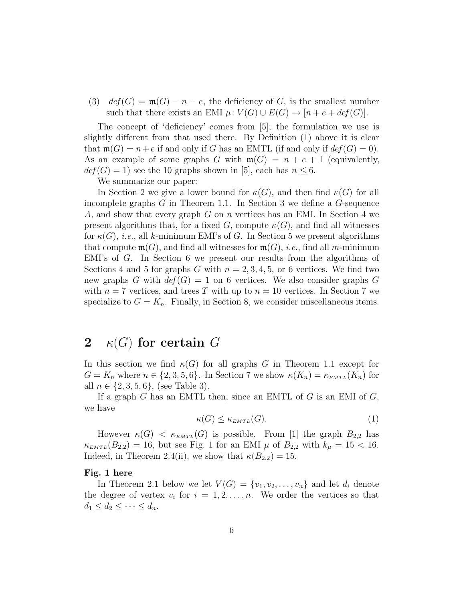(3)  $def(G) = \mathfrak{m}(G) - n - e$ , the deficiency of *G*, is the smallest number such that there exists an EMI  $\mu$ :  $V(G) \cup E(G) \rightarrow [n+e+def(G)]$ .

The concept of 'deficiency' comes from [5]; the formulation we use is slightly different from that used there. By Definition (1) above it is clear that  $\mathfrak{m}(G) = n + e$  if and only if *G* has an EMTL (if and only if  $def(G) = 0$ ). As an example of some graphs *G* with  $m(G) = n + e + 1$  (equivalently,  $def(G) = 1$ ) see the 10 graphs shown in [5], each has  $n \leq 6$ .

We summarize our paper:

In Section 2 we give a lower bound for  $\kappa(G)$ , and then find  $\kappa(G)$  for all incomplete graphs *G* in Theorem 1.1. In Section 3 we define a *G*-sequence *A*, and show that every graph *G* on *n* vertices has an EMI. In Section 4 we present algorithms that, for a fixed *G*, compute  $\kappa(G)$ , and find all witnesses for  $\kappa(G)$ , *i.e.*, all *k*-minimum EMI's of *G*. In Section 5 we present algorithms that compute  $\mathfrak{m}(G)$ , and find all witnesses for  $\mathfrak{m}(G)$ , *i.e.*, find all *m*-minimum EMI's of *G*. In Section 6 we present our results from the algorithms of Sections 4 and 5 for graphs *G* with  $n = 2, 3, 4, 5$ , or 6 vertices. We find two new graphs *G* with  $\text{def}(G) = 1$  on 6 vertices. We also consider graphs *G* with  $n = 7$  vertices, and trees T with up to  $n = 10$  vertices. In Section 7 we specialize to  $G = K_n$ . Finally, in Section 8, we consider miscellaneous items.

### **2**  $\kappa(G)$  for certain  $G$

In this section we find  $\kappa(G)$  for all graphs *G* in Theorem 1.1 except for  $G = K_n$  where  $n \in \{2, 3, 5, 6\}$ . In Section 7 we show  $\kappa(K_n) = \kappa_{EMTL}(K_n)$  for all  $n \in \{2, 3, 5, 6\}$ , (see Table 3).

If a graph *G* has an EMTL then, since an EMTL of *G* is an EMI of *G*, we have

$$
\kappa(G) \le \kappa_{EMTL}(G). \tag{1}
$$

However  $\kappa(G) < \kappa_{EMTL}(G)$  is possible. From [1] the graph  $B_{2,2}$  has  $\kappa_{EMTL}(B_{2,2}) = 16$ , but see Fig. 1 for an EMI  $\mu$  of  $B_{2,2}$  with  $k_{\mu} = 15 < 16$ . Indeed, in Theorem 2.4(ii), we show that  $\kappa(B_{2,2}) = 15$ .

#### **Fig. 1 here**

In Theorem 2.1 below we let  $V(G) = \{v_1, v_2, \ldots, v_n\}$  and let  $d_i$  denote the degree of vertex  $v_i$  for  $i = 1, 2, \ldots, n$ . We order the vertices so that  $d_1 \leq d_2 \leq \cdots \leq d_n$ .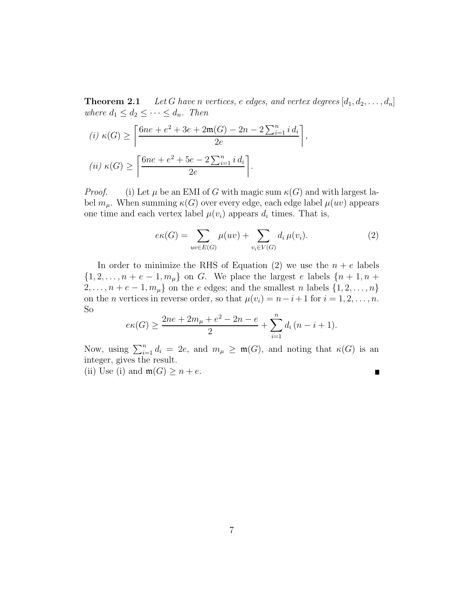**Theorem 2.1** *Let G have n vertices, e edges,* and *vertex degrees*  $[d_1, d_2, \ldots, d_n]$ *where*  $d_1 \leq d_2 \leq \cdots \leq d_n$ *. Then* 

$$
(i) \ \kappa(G) \ge \left\lceil \frac{6ne + e^2 + 3e + 2\mathfrak{m}(G) - 2n - 2\sum_{i=1}^n i d_i}{2e} \right\rceil,
$$

$$
(ii) \ \kappa(G) \ge \left\lceil \frac{6ne + e^2 + 5e - 2\sum_{i=1}^n i d_i}{2e} \right\rceil.
$$

*Proof.* (i) Let  $\mu$  be an EMI of *G* with magic sum  $\kappa(G)$  and with largest label  $m_\mu$ . When summing  $\kappa(G)$  over every edge, each edge label  $\mu(uv)$  appears one time and each vertex label  $\mu(v_i)$  appears  $d_i$  times. That is,

$$
e\kappa(G) = \sum_{uv \in E(G)} \mu(uv) + \sum_{v_i \in V(G)} d_i \mu(v_i). \tag{2}
$$

In order to minimize the RHS of Equation  $(2)$  we use the  $n + e$  labels  $\{1, 2, \ldots, n + e - 1, m_\mu\}$  on *G*. We place the largest *e* labels  $\{n + 1, n + \mu\}$ 2,...,  $n + e - 1$ ,  $m<sub>\mu</sub>$ } on the *e* edges; and the smallest *n* labels {1, 2, ..., *n*} on the *n* vertices in reverse order, so that  $\mu(v_i) = n - i + 1$  for  $i = 1, 2, ..., n$ . So

$$
e\kappa(G) \ge \frac{2ne + 2m_{\mu} + e^2 - 2n - e}{2} + \sum_{i=1}^{n} d_i (n - i + 1).
$$

Now, using  $\sum_{i=1}^{n} d_i = 2e$ , and  $m_{\mu} \geq \mathfrak{m}(G)$ , and noting that  $\kappa(G)$  is an integer, gives the result.

(ii) Use (i) and  $\mathfrak{m}(G) \geq n + e$ .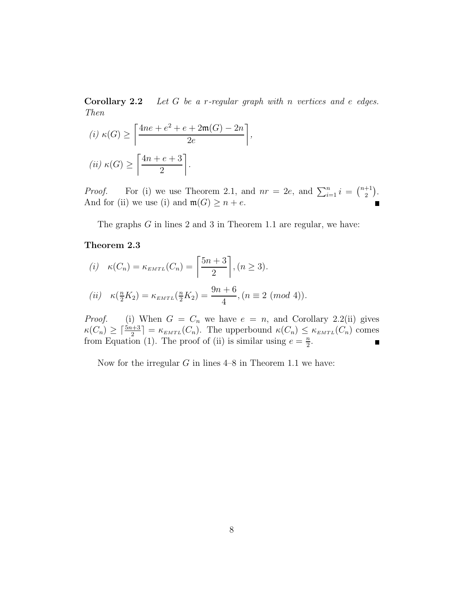**Corollary 2.2** *Let G be a r-regular graph with n vertices and e edges. Then*

*,*

(i) 
$$
\kappa(G) \ge \left\lceil \frac{4ne + e^2 + e + 2\mathfrak{m}(G) - 2n}{2e} \right\rceil
$$
  
(ii)  $\kappa(G) \ge \left\lceil \frac{4n + e + 3}{2} \right\rceil$ .

*Proof.* For (i) we use Theorem 2.1, and  $nr = 2e$ , and  $\sum_{i=1}^{n} i = \binom{n+1}{2}$  $).$ And for (ii) we use (i) and  $\mathfrak{m}(G) \geq n + e$ .

The graphs *G* in lines 2 and 3 in Theorem 1.1 are regular, we have:

### **Theorem 2.3**

(i) 
$$
\kappa(C_n) = \kappa_{EMTL}(C_n) = \left\lceil \frac{5n+3}{2} \right\rceil, (n \ge 3).
$$
  
\n(ii)  $\kappa(\frac{n}{2}K_2) = \kappa_{EMTL}(\frac{n}{2}K_2) = \frac{9n+6}{4}, (n \equiv 2 \pmod{4}).$ 

*Proof.* (i) When  $G = C_n$  we have  $e = n$ , and Corollary 2.2(ii) gives  $\kappa(C_n) \geq \lceil \frac{5n+3}{2} \rceil = \kappa_{EMTL}(C_n)$ . The upperbound  $\kappa(C_n) \leq \kappa_{EMTL}(C_n)$  comes from Equation (1). The proof of (ii) is similar using  $e = \frac{n}{2}$ .

Now for the irregular *G* in lines 4–8 in Theorem 1.1 we have: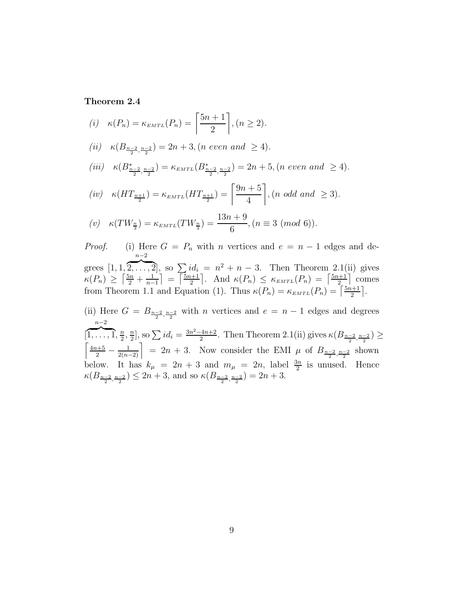### **Theorem 2.4**

(i) 
$$
\kappa(P_n) = \kappa_{EMTL}(P_n) = \left[\frac{5n+1}{2}\right], (n \ge 2).
$$
  
\n(ii)  $\kappa(B_{\frac{n-2}{2}, \frac{n-2}{2}}) = 2n + 3, (n \text{ even and } \ge 4).$   
\n(iii)  $\kappa(B_{\frac{n-2}{2}, \frac{n-2}{2}}) = \kappa_{EMTL}(B_{\frac{n-2}{2}, \frac{n-2}{2}}^*) = 2n + 5, (n \text{ even and } \ge 4).$   
\n(iv)  $\kappa(HT_{\frac{n+1}{2}}) = \kappa_{EMTL}(HT_{\frac{n+1}{2}}) = \left[\frac{9n+5}{4}\right], (n \text{ odd and } \ge 3).$   
\n(v)  $\kappa(TW_{\frac{n}{3}}) = \kappa_{EMTL}(TW_{\frac{n}{3}}) = \frac{13n+9}{6}, (n \equiv 3 \pmod{6}).$ 

*Proof.* (i) Here  $G = P_n$  with *n* vertices and  $e = n - 1$  edges and degrees [1*,* 1*, n*−2  $\overline{2, \ldots, 2}$ , so  $\sum id_i = n^2 + n - 3$ . Then Theorem 2.1(ii) gives  $\kappa(P_n) \geq \left\lceil \frac{5n}{2} + \frac{1}{n-1} \right\rceil = \left\lceil \frac{5n+1}{2} \right\rceil$  $\left[ \therefore \text{ And } \kappa(P_n) \leq \kappa_{EMTL}(P_n) = \left[ \frac{5n+1}{2} \right] \text{ comes} \right]$ from Theorem 1.1 and Equation (1). Thus  $\kappa(P_n) = \kappa_{EMTL}(P_n) = \left[\frac{5n+1}{2}\right]$  . (ii) Here  $G = B_{\frac{n-2}{2}, \frac{n-2}{2}}$  with *n* vertices and  $e = n - 1$  edges and degrees 2 *n*−2  $\overbrace{1,\ldots,1,\frac{n}{2},\frac{n}{2}}, \sum_{i=1}^{\infty} i d_i = \frac{3n^2-4n+2}{2}.$  Then Theorem 2.1(ii) gives  $\kappa(B_{\frac{n-2}{2},\frac{n-2}{2}}) \geq$ 

[ .<br>T  $\left(\frac{4n+5}{2} - \frac{1}{2(n-2)}\right] = 2n + 3$ . Now consider the EMI *µ* of  $B_{\frac{n-2}{2},\frac{n-2}{2}}$  shown below. It has  $k_{\mu} = 2n + 3$  and  $m_{\mu} = 2n$ , label  $\frac{3n}{2}$  is unused. Hence  $\kappa(B_{\frac{n-2}{2},\frac{n-2}{2}}) \leq 2n+3$ , and so  $\kappa(B_{\frac{n-2}{2},\frac{n-2}{2}}) = 2n+3$ .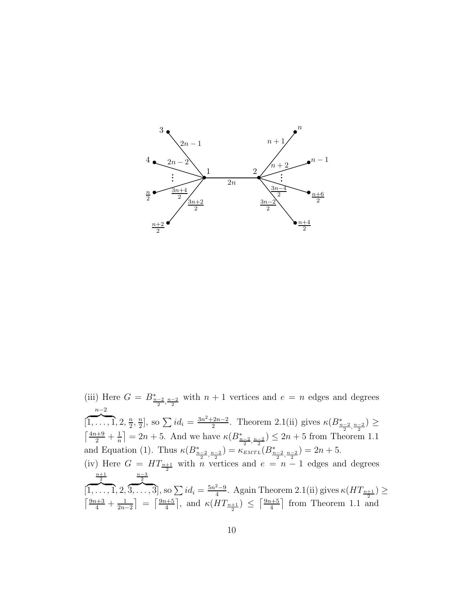

(iii) Here  $G = B_{\frac{n-2}{2}, \frac{n-2}{2}}$  with  $n+1$  vertices and  $e = n$  edges and degrees [ *n*−2  $\overbrace{1,\ldots,1}$ , 2,  $\frac{n}{2}, \frac{n}{2}$ , so  $\sum id_i = \frac{3n^2+2n-2}{2}$ . Theorem 2.1(ii) gives  $\kappa(B_{\frac{n-2}{2},\frac{n-2}{2}}^*) \geq$  $\lceil \frac{4n+9}{1} \rceil$  $\frac{a+9}{2} + \frac{1}{n}$  = 2*n* + 5. And we have  $\kappa(B_{\frac{n-2}{2}, \frac{n-2}{2}}) \leq 2n + 5$  from Theorem 1.1 and Equation (1). Thus  $\kappa(B_{\frac{n-2}{2},\frac{n-2}{2}}) = \kappa_{EMTL}(B_{\frac{n-2}{2},\frac{n-2}{2}}) = 2n + 5.$ (iv) Here  $G = HT_{\frac{n+1}{2}}$  with *n* vertices and  $e = n - 1$  edges and degrees [  $\frac{\frac{n+1}{2}}{1,\ldots,1}, 2, \overbrace{3,\ldots,3}^{n-3},$  so  $\sum id_i = \frac{5n^2-9}{4}$ . Again Theorem 2.1(ii) gives  $\kappa(HT_{\frac{n+1}{2}}) \geq$  $\left\lceil \frac{9n+3}{4} + \frac{1}{2n-2} \right\rceil = \left\lceil \frac{9n+5}{4} \right\rceil$  $\frac{1}{\sqrt{2}}$ , and  $\kappa (HT_{\frac{n+1}{2}}) \leq \left\lceil \frac{9n+5}{4} \right\rceil$  from Theorem 1.1 and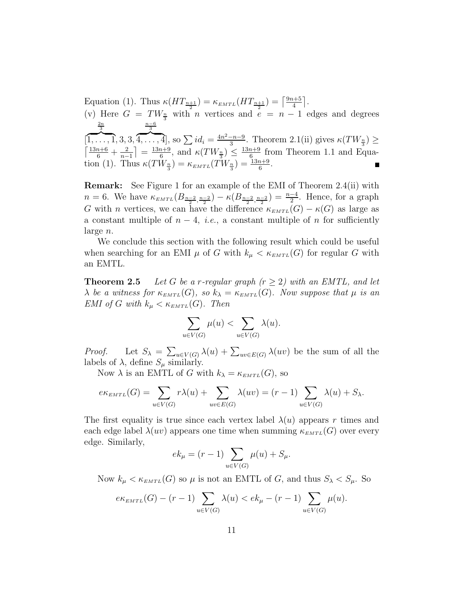Equation (1). Thus  $\kappa(HT_{\frac{n+1}{2}}) = \kappa_{EMTL}(HT_{\frac{n+1}{2}}) = \lceil \frac{9n+5}{4} \rceil$  $\overline{\phantom{a}}$ . (v) Here  $G = TW_{\frac{n}{3}}$  with *n* vertices and  $e = n - 1$  edges and degrees [  $\frac{\frac{2n}{3}}{[1,\ldots,1,3,3,4,\ldots,4]}$ , so  $\sum id_i = \frac{4n^2-n-9}{3}$ . Theorem 2.1(ii) gives  $\kappa(TW_{\frac{n}{3}}) \ge$ <br> $\left[\frac{13n+6}{6} + \frac{2}{n-1}\right] = \frac{13n+9}{6}$ , and  $\kappa(TW_{\frac{n}{3}}) \le \frac{13n+9}{6}$  from Theorem 1.1 and Equa- $\left[1 = \frac{13n+9}{6}, \text{ and } \kappa(TW_{\frac{n}{3}}) \leq \frac{13n+9}{6} \text{ from Theorem 1.1 and Equa-1}$ tion (1). Thus  $\kappa(TW_{\frac{n}{3}}) = \kappa_{EMTL}(TW_{\frac{n}{3}}) = \frac{13n+9}{6}$ .

**Remark:** See Figure 1 for an example of the EMI of Theorem 2.4(ii) with *n* = 6. We have  $\kappa_{EMTL}(B_{\frac{n-2}{2},\frac{n-2}{2}}) - \kappa(B_{\frac{n-2}{2},\frac{n-2}{2}}) = \frac{n-4}{2}$ . Hence, for a graph *G* with *n* vertices, we can have the difference  $\kappa_{EMTL}(G) - \kappa(G)$  as large as a constant multiple of  $n-4$ , *i.e.*, a constant multiple of *n* for sufficiently large *n*.

We conclude this section with the following result which could be useful when searching for an EMI  $\mu$  of *G* with  $k_{\mu} < \kappa_{EMTL}(G)$  for regular *G* with an EMTL.

**Theorem 2.5** *Let*  $G$  *be a r-regular graph*  $(r \geq 2)$  *with an EMTL, and let λ be a witness for*  $\kappa_{EMTL}(G)$ *, so*  $k_{\lambda} = \kappa_{EMTL}(G)$ *. Now suppose that*  $\mu$  *is an EMI* of *G* with  $k_{\mu} < \kappa_{EMTL}(G)$ *. Then* 

$$
\sum_{u \in V(G)} \mu(u) < \sum_{u \in V(G)} \lambda(u).
$$

*Proof.* Let  $S_{\lambda} = \sum_{u \in V(G)} \lambda(u) + \sum_{uv \in E(G)} \lambda(uv)$  be the sum of all the labels of  $\lambda$ , define  $S_{\mu}$  similarly.

Now  $\lambda$  is an EMTL of *G* with  $k_{\lambda} = \kappa_{EMTL}(G)$ , so

$$
e\kappa_{EMTL}(G) = \sum_{u \in V(G)} r\lambda(u) + \sum_{uv \in E(G)} \lambda(uv) = (r-1) \sum_{u \in V(G)} \lambda(u) + S_{\lambda}.
$$

The first equality is true since each vertex label  $\lambda(u)$  appears r times and each edge label  $\lambda(uv)$  appears one time when summing  $\kappa_{EMTL}(G)$  over every edge. Similarly,

$$
ek_{\mu} = (r - 1) \sum_{u \in V(G)} \mu(u) + S_{\mu}.
$$

Now  $k_{\mu} < \kappa_{EMTL}(G)$  so  $\mu$  is not an EMTL of *G*, and thus  $S_{\lambda} < S_{\mu}$ . So

$$
e\kappa_{EMTL}(G) - (r-1)\sum_{u \in V(G)} \lambda(u) < e k_{\mu} - (r-1)\sum_{u \in V(G)} \mu(u).
$$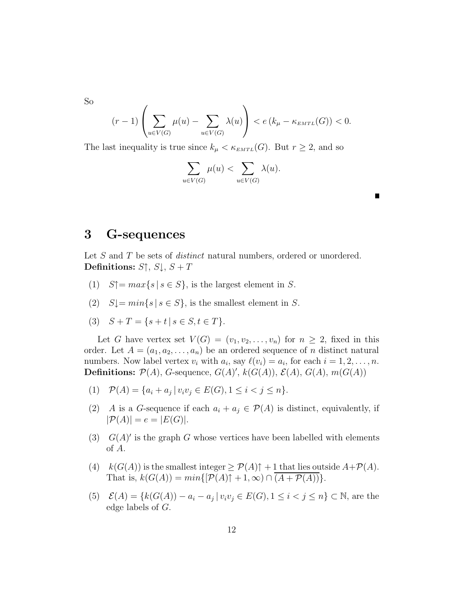So

$$
(r-1)\left(\sum_{u\in V(G)}\mu(u)-\sum_{u\in V(G)}\lambda(u)\right)<\ e\left(k_{\mu}-\kappa_{EMTL}(G)\right)<0.
$$

The last inequality is true since  $k_{\mu} < \kappa_{EMTL}(G)$ . But  $r \geq 2$ , and so

$$
\sum_{u \in V(G)} \mu(u) < \sum_{u \in V(G)} \lambda(u).
$$

### **3 G-sequences**

Let *S* and *T* be sets of *distinct* natural numbers, ordered or unordered. **Definitions:**  $S \uparrow$ ,  $S \downarrow$ ,  $S + T$ 

- (1)  $S \uparrow = \max\{s \mid s \in S\}$ , is the largest element in *S*.
- (2)  $S\downarrow = min\{s \mid s \in S\}$ , is the smallest element in *S*.
- (3)  $S + T = \{s + t | s \in S, t \in T\}.$

Let *G* have vertex set  $V(G) = (v_1, v_2, \ldots, v_n)$  for  $n \geq 2$ , fixed in this order. Let  $A = (a_1, a_2, \ldots, a_n)$  be an ordered sequence of *n* distinct natural numbers. Now label vertex  $v_i$  with  $a_i$ , say  $\ell(v_i) = a_i$ , for each  $i = 1, 2, \ldots, n$ . **Definitions:**  $P(A)$ , *G*-sequence,  $G(A)'$ ,  $k(G(A))$ ,  $\mathcal{E}(A)$ ,  $G(A)$ ,  $m(G(A))$ 

- (1)  $\mathcal{P}(A) = \{a_i + a_j \mid v_i v_j \in E(G), 1 \leq i < j \leq n\}.$
- (2) *A* is a *G*-sequence if each  $a_i + a_j \in \mathcal{P}(A)$  is distinct, equivalently, if  $|\mathcal{P}(A)| = e = |E(G)|.$
- (3)  $G(A)$  is the graph G whose vertices have been labelled with elements of *A*.
- (4)  $k(G(A))$  is the smallest integer  $\geq \mathcal{P}(A)\uparrow + 1$  that lies outside  $A + \mathcal{P}(A)$ . That is,  $k(G(A)) = min\{[\mathcal{P}(A)\uparrow + 1, \infty) \cap (A + \mathcal{P}(A))\}.$
- (5)  $\mathcal{E}(A) = \{k(G(A)) a_i a_j | v_i v_j \in E(G), 1 \le i < j \le n\} \subset \mathbb{N}$ , are the edge labels of *G*.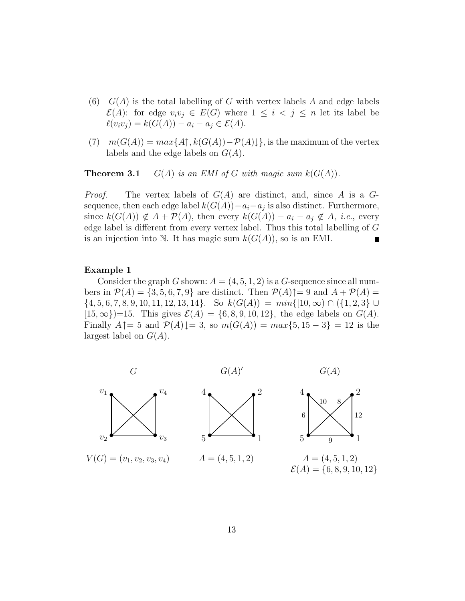- (6) *G*(*A*) is the total labelling of *G* with vertex labels *A* and edge labels  $\mathcal{E}(A)$ : for edge  $v_i v_j \in E(G)$  where  $1 \leq i \leq j \leq n$  let its label be  $\ell(v_i v_j) = k(G(A)) - a_i - a_j \in \mathcal{E}(A).$
- $(7)$  *m*( $G(A)$ ) = *max*{ $A$  $\uparrow$ ,  $k(G(A)) P(A)$ }, is the maximum of the vertex labels and the edge labels on *G*(*A*).

**Theorem 3.1** *G*(*A*) *is an EMI of G with magic sum*  $k(G(A))$ *.* 

*Proof.* The vertex labels of *G*(*A*) are distinct, and, since *A* is a *G*sequence, then each edge label  $k(G(A)) - a_i - a_j$  is also distinct. Furthermore, since  $k(G(A)) \notin A + P(A)$ , then every  $k(G(A)) - a_i - a_j \notin A$ , *i.e.*, every edge label is different from every vertex label. Thus this total labelling of *G* is an injection into N. It has magic sum  $k(G(A))$ , so is an EMI.

### **Example 1**

Consider the graph *G* shown:  $A = (4, 5, 1, 2)$  is a *G*-sequence since all numbers in  $\mathcal{P}(A) = \{3, 5, 6, 7, 9\}$  are distinct. Then  $\mathcal{P}(A)\uparrow=9$  and  $A + \mathcal{P}(A) =$ {4*,* 5*,* 6*,* 7*,* 8*,* 9*,* 10*,* 11*,* 12*,* 13*,* 14}. So *k*(*G*(*A*)) = *min*{[10*,*∞) ∩ ({1*,* 2*,* 3} ∪  $[15, \infty]$ )=15. This gives  $\mathcal{E}(A) = \{6, 8, 9, 10, 12\}$ , the edge labels on  $G(A)$ . Finally  $A \uparrow = 5$  and  $\mathcal{P}(A) \downarrow = 3$ , so  $m(G(A)) = max\{5, 15 - 3\} = 12$  is the largest label on *G*(*A*).

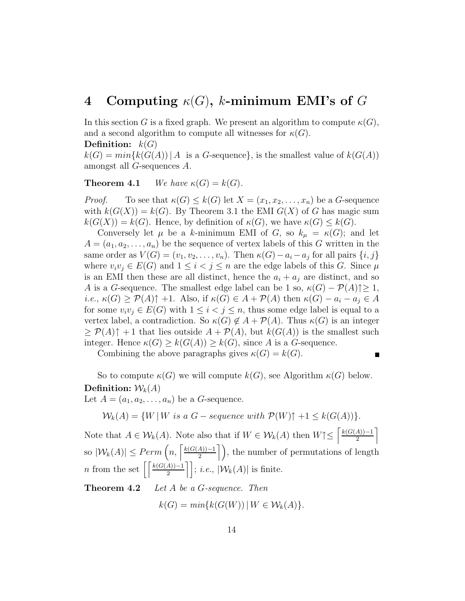## **4** Computing  $\kappa(G)$ , *k***-minimum EMI's of** *G*

In this section *G* is a fixed graph. We present an algorithm to compute  $\kappa(G)$ , and a second algorithm to compute all witnesses for  $\kappa(G)$ .

### **Definition:** *k*(*G*)

 $k(G) = min\{k(G(A)) \mid A$  is a *G*-sequence, is the smallest value of  $k(G(A))$ amongst all *G*-sequences *A*.

**Theorem 4.1** *We have*  $\kappa(G) = k(G)$ *.* 

*Proof.* To see that  $\kappa(G) \leq k(G)$  let  $X = (x_1, x_2, \ldots, x_n)$  be a *G*-sequence with  $k(G(X)) = k(G)$ . By Theorem 3.1 the EMI  $G(X)$  of G has magic sum  $k(G(X)) = k(G)$ . Hence, by definition of  $\kappa(G)$ , we have  $\kappa(G) \leq k(G)$ .

Conversely let  $\mu$  be a *k*-minimum EMI of *G*, so  $k_{\mu} = \kappa(G)$ ; and let  $A = (a_1, a_2, \ldots, a_n)$  be the sequence of vertex labels of this *G* written in the same order as  $V(G) = (v_1, v_2, \ldots, v_n)$ . Then  $\kappa(G) - a_i - a_j$  for all pairs  $\{i, j\}$ where  $v_i v_j \in E(G)$  and  $1 \leq i < j \leq n$  are the edge labels of this *G*. Since  $\mu$ is an EMI then these are all distinct, hence the  $a_i + a_j$  are distinct, and so *A* is a *G*-sequence. The smallest edge label can be 1 so,  $\kappa(G) - \mathcal{P}(A) \geq 1$ ,  $i.e., \kappa(G) \geq \mathcal{P}(A) \uparrow +1.$  Also, if  $\kappa(G) \in A + \mathcal{P}(A)$  then  $\kappa(G) - a_i - a_j \in A$ for some  $v_i v_j \in E(G)$  with  $1 \leq i < j \leq n$ , thus some edge label is equal to a vertex label, a contradiction. So  $\kappa(G) \notin A + \mathcal{P}(A)$ . Thus  $\kappa(G)$  is an integer  $\geq \mathcal{P}(A) \uparrow +1$  that lies outside  $A + \mathcal{P}(A)$ , but  $k(G(A))$  is the smallest such integer. Hence  $\kappa(G) \geq k(G(A)) \geq k(G)$ , since *A* is a *G*-sequence.

Combining the above paragraphs gives  $\kappa(G) = k(G)$ .

$$
\blacksquare
$$

So to compute  $\kappa(G)$  we will compute  $k(G)$ , see Algorithm  $\kappa(G)$  below. **Definition:**  $W_k(A)$ 

Let  $A = (a_1, a_2, \ldots, a_n)$  be a *G*-sequence.

$$
\mathcal{W}_k(A) = \{ W \mid W \text{ is a } G-\text{sequence with } \mathcal{P}(W) \uparrow +1 \leq k(G(A)) \}.
$$

Note that  $A \in \mathcal{W}_k(A)$ . Note also that if  $W \in \mathcal{W}_k(A)$  then  $W \uparrow \leq \left\lceil \frac{k(G(A)) - 1}{2} \right\rceil$  $\overline{1}$  $\text{so } |\mathcal{W}_k(A)| \leq Perm\left(n, \left\lceil \frac{k(G(A)) - 1}{2} \right\rceil\right), \text{ the number of permutations of length } k$ *n* from the set  $\left\lceil \left\lceil \frac{k(G(A)) - 1}{2} \right\rceil \right\rceil$ ; *i.e.*,  $|\mathcal{W}_k(A)|$  is finite.

**Theorem 4.2** *Let A be a G-sequence. Then*

 $k(G) = min\{k(G(W)) | W \in \mathcal{W}_k(A)\}.$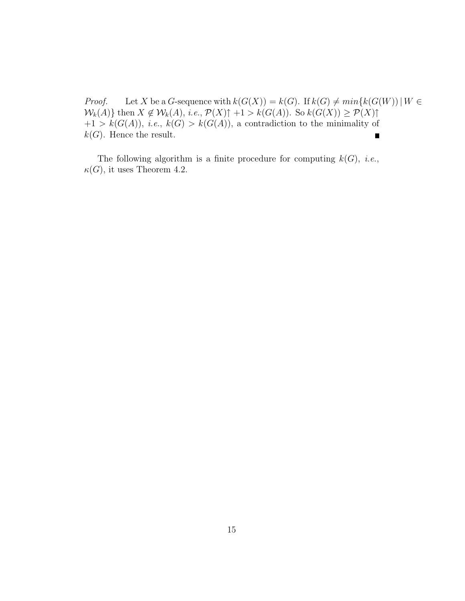*Proof.* Let *X* be a *G*-sequence with  $k(G(X)) = k(G)$ . If  $k(G) \neq min{k(G(W)) | W \in$  $W_k(A)$  then  $X \notin W_k(A)$ , *i.e.*,  $\mathcal{P}(X) \uparrow +1 > k(G(A))$ . So  $k(G(X)) \ge \mathcal{P}(X) \uparrow$  $+1 > k(G(A)),$  *i.e.*,  $k(G) > k(G(A)),$  a contradiction to the minimality of  $k(G)$ . Hence the result.

The following algorithm is a finite procedure for computing  $k(G)$ , *i.e.*,  $\kappa(G)$ , it uses Theorem 4.2.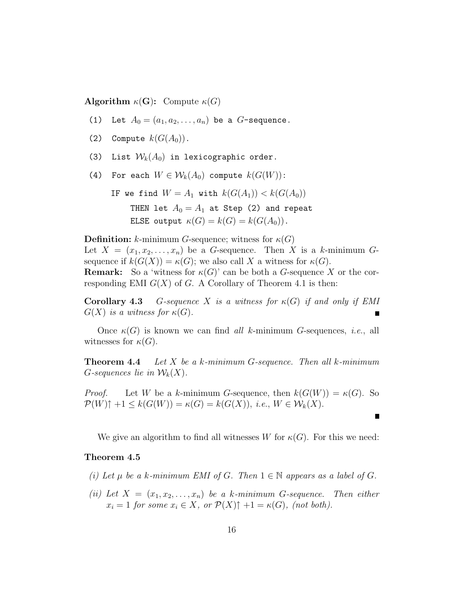**Algorithm**  $\kappa(G)$ : Compute  $\kappa(G)$ 

- (1) Let  $A_0 = (a_1, a_2, \ldots, a_n)$  be a *G*-sequence.
- (2) Compute  $k(G(A_0))$ .
- (3) List  $\mathcal{W}_k(A_0)$  in lexicographic order.
- (4) For each  $W \in \mathcal{W}_k(A_0)$  compute  $k(G(W))$ :

IF we find  $W = A_1$  with  $k(G(A_1)) < k(G(A_0))$ THEN let  $A_0 = A_1$  at Step (2) and repeat ELSE output  $\kappa(G) = k(G) = k(G(A_0)).$ 

**Definition:**  $k$ -minimum  $G$ -sequence; witness for  $\kappa(G)$ Let  $X = (x_1, x_2, \ldots, x_n)$  be a *G*-sequence. Then *X* is a *k*-minimum *G*sequence if  $k(G(X)) = \kappa(G)$ ; we also call X a witness for  $\kappa(G)$ . **Remark:** So a 'witness for  $\kappa(G)$ ' can be both a *G*-sequence X or the corresponding EMI  $G(X)$  of  $G$ . A Corollary of Theorem 4.1 is then:

**Corollary 4.3** *G*-sequence *X is a witness for*  $\kappa(G)$  *if and only if EMI*  $G(X)$  *is a witness for*  $\kappa(G)$ *.* 

Once *κ*(*G*) is known we can find *all k*-minimum *G*-sequences, *i.e.*, all witnesses for  $\kappa(G)$ .

**Theorem 4.4** *Let X be a k-minimum G-sequence. Then all k-minimum G*-sequences lie in  $W_k(X)$ .

*Proof.* Let *W* be a *k*-minimum *G*-sequence, then  $k(G(W)) = \kappa(G)$ . So  $\mathcal{P}(W) \uparrow +1 \leq k(G(W)) = \kappa(G) = k(G(X)), \text{ i.e., } W \in \mathcal{W}_k(X).$ 

We give an algorithm to find all witnesses *W* for  $\kappa(G)$ . For this we need:

#### **Theorem 4.5**

- *(i)* Let  $\mu$  be a  $k$ *-minimum EMI of*  $G$ *. Then*  $1 \in \mathbb{N}$  appears as a label of  $G$ *.*
- *(ii)* Let  $X = (x_1, x_2, \ldots, x_n)$  be a *k*-minimum *G*-sequence. Then either  $x_i = 1$  *for some*  $x_i \in X$ *, or*  $\mathcal{P}(X) \uparrow +1 = \kappa(G)$ *, (not both).*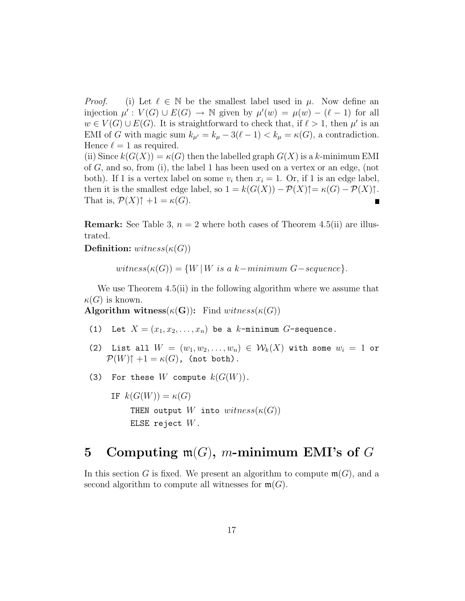*Proof.* (i) Let  $\ell \in \mathbb{N}$  be the smallest label used in  $\mu$ . Now define an injection  $\mu' : V(G) \cup E(G) \rightarrow \mathbb{N}$  given by  $\mu'(w) = \mu(w) - (\ell - 1)$  for all  $w \in V(G) \cup E(G)$ . It is straightforward to check that, if  $\ell > 1$ , then  $\mu'$  is an EMI of *G* with magic sum  $k_{\mu'} = k_{\mu} - 3(\ell - 1) < k_{\mu} = \kappa(G)$ , a contradiction. Hence  $\ell = 1$  as required. (ii) Since  $k(G(X)) = \kappa(G)$  then the labelled graph  $G(X)$  is a k-minimum EMI of *G*, and so, from (i), the label 1 has been used on a vertex or an edge, (not both). If 1 is a vertex label on some  $v_i$  then  $x_i = 1$ . Or, if 1 is an edge label, then it is the smallest edge label, so  $1 = k(G(X)) - \mathcal{P}(X)\uparrow = \kappa(G) - \mathcal{P}(X)\uparrow$ .

**Remark:** See Table 3,  $n = 2$  where both cases of Theorem 4.5(ii) are illustrated.

**Definition:** *witness*( $\kappa(G)$ )

That is,  $\mathcal{P}(X)\uparrow +1 = \kappa(G)$ .

 $witness(\kappa(G)) = \{W | W \text{ is a } k-minimum \ G-sequence\}.$ 

We use Theorem 4.5(ii) in the following algorithm where we assume that  $\kappa(G)$  is known.

**Algorithm witness**( $\kappa(G)$ ): Find  $witness(\kappa(G))$ 

- (1) Let  $X = (x_1, x_2, \ldots, x_n)$  be a *k*-minimum *G*-sequence.
- (2) List all  $W = (w_1, w_2, \ldots, w_n) \in \mathcal{W}_k(X)$  with some  $w_i = 1$  or  $\mathcal{P}(W)\uparrow +1 = \kappa(G)$ , (not both).
- (3) For these  $W$  compute  $k(G(W))$ .

IF  $k(G(W)) = \kappa(G)$ THEN output  $W$  into  $witness(\kappa(G))$ ELSE reject *W*.

# **5 Computing** m(*G*)**,** *m***-minimum EMI's of** *G*

In this section *G* is fixed. We present an algorithm to compute  $\mathfrak{m}(G)$ , and a second algorithm to compute all witnesses for  $\mathfrak{m}(G)$ .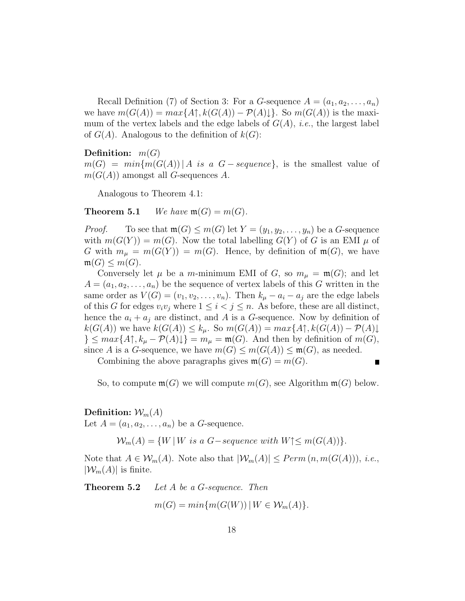Recall Definition (7) of Section 3: For a *G*-sequence  $A = (a_1, a_2, \ldots, a_n)$ we have  $m(G(A)) = max\{A\}$ ,  $k(G(A)) - P(A)\}$ . So  $m(G(A))$  is the maximum of the vertex labels and the edge labels of *G*(*A*), *i.e.*, the largest label of  $G(A)$ . Analogous to the definition of  $k(G)$ :

### **Definition:** *m*(*G*)

 $m(G) = min{m(G(A)) | A \text{ is a } G - sequence}$ , is the smallest value of  $m(G(A))$  amongst all *G*-sequences *A*.

Analogous to Theorem 4.1:

### **Theorem 5.1** *We have*  $\mathfrak{m}(G) = m(G)$ *.*

*Proof.* To see that  $\mathfrak{m}(G) \leq m(G)$  let  $Y = (y_1, y_2, \ldots, y_n)$  be a *G*-sequence with  $m(G(Y)) = m(G)$ . Now the total labelling  $G(Y)$  of *G* is an EMI  $\mu$  of *G* with  $m_{\mu} = m(G(Y)) = m(G)$ . Hence, by definition of  $m(G)$ , we have  $m(G) \leq m(G)$ .

Conversely let  $\mu$  be a *m*-minimum EMI of *G*, so  $m_{\mu} = \mathfrak{m}(G)$ ; and let  $A = (a_1, a_2, \ldots, a_n)$  be the sequence of vertex labels of this *G* written in the same order as  $V(G) = (v_1, v_2, \ldots, v_n)$ . Then  $k_\mu - a_i - a_j$  are the edge labels of this *G* for edges  $v_i v_j$  where  $1 \leq i < j \leq n$ . As before, these are all distinct, hence the  $a_i + a_j$  are distinct, and A is a G-sequence. Now by definition of  $k(G(A))$  we have  $k(G(A)) \leq k_{\mu}$ . So  $m(G(A)) = max\{A\}, k(G(A)) - P(A)\$  $\}$   $\leq$   $max\{A\uparrow, k_{\mu} - \mathcal{P}(A)\downarrow\}$  =  $m_{\mu} = \mathfrak{m}(G)$ . And then by definition of  $m(G)$ , since *A* is a *G*-sequence, we have  $m(G) \leq m(G(A)) \leq m(G)$ , as needed.

Combining the above paragraphs gives  $\mathfrak{m}(G) = m(G)$ .

$$
\blacksquare
$$

So, to compute  $\mathfrak{m}(G)$  we will compute  $m(G)$ , see Algorithm  $\mathfrak{m}(G)$  below.

### **Definition:**  $\mathcal{W}_m(A)$

Let  $A = (a_1, a_2, \ldots, a_n)$  be a *G*-sequence.

 $W_m(A) = \{W \mid W \text{ is a } G\text{-}sequence with W\} \leq m(G(A))\}.$ 

Note that  $A \in \mathcal{W}_m(A)$ . Note also that  $|\mathcal{W}_m(A)| \leq Perm(n, m(G(A))),$  *i.e.*,  $|\mathcal{W}_m(A)|$  is finite.

**Theorem 5.2** *Let A be a G-sequence. Then*

$$
m(G) = min\{m(G(W)) \mid W \in \mathcal{W}_m(A)\}.
$$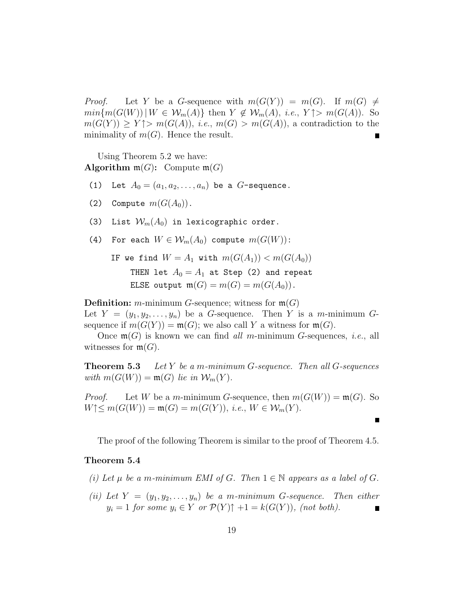*Proof.* Let *Y* be a *G*-sequence with  $m(G(Y)) = m(G)$ . If  $m(G) \neq$  $min\{m(G(W)) | W \in \mathcal{W}_m(A)\}\$ then  $Y \notin \mathcal{W}_m(A), i.e., Y \uparrow > m(G(A)).$  So  $m(G(Y)) \geq Y \uparrow > m(G(A)),$  *i.e.*,  $m(G) > m(G(A)),$  a contradiction to the minimality of  $m(G)$ . Hence the result.

Using Theorem 5.2 we have: **Algorithm**  $\mathfrak{m}(G)$ : Compute  $\mathfrak{m}(G)$ 

- (1) Let  $A_0 = (a_1, a_2, \ldots, a_n)$  be a *G*-sequence.
- (2) Compute  $m(G(A_0))$ .
- (3) List  $\mathcal{W}_m(A_0)$  in lexicographic order.
- (4) For each  $W \in \mathcal{W}_m(A_0)$  compute  $m(G(W))$ :

IF we find  $W = A_1$  with  $m(G(A_1)) < m(G(A_0))$ THEN let  $A_0 = A_1$  at Step (2) and repeat ELSE output  $\mathfrak{m}(G) = m(G) = m(G(A_0)).$ 

**Definition:** *m*-minimum *G*-sequence; witness for  $\mathfrak{m}(G)$ 

Let  $Y = (y_1, y_2, \ldots, y_n)$  be a *G*-sequence. Then *Y* is a *m*-minimum *G*sequence if  $m(G(Y)) = \mathfrak{m}(G)$ ; we also call Y a witness for  $\mathfrak{m}(G)$ .

Once m(*G*) is known we can find *all m*-minimum *G*-sequences, *i.e.*, all witnesses for  $\mathfrak{m}(G)$ .

**Theorem 5.3** *Let Y be a m-minimum G-sequence. Then all G-sequences with*  $m(G(W)) = m(G)$  *lie in*  $W_m(Y)$ *.* 

*Proof.* Let *W* be a *m*-minimum *G*-sequence, then  $m(G(W)) = m(G)$ . So *W*↑≤ *m*(*G*(*W*)) = **m**(*G*) = *m*(*G*(*Y*)), *i.e.*, *W* ∈  $W_m(Y)$ .

The proof of the following Theorem is similar to the proof of Theorem 4.5.

#### **Theorem 5.4**

- *(i)* Let  $\mu$  be a m-minimum EMI of G. Then  $1 \in \mathbb{N}$  appears as a label of G.
- *(ii)* Let  $Y = (y_1, y_2, \ldots, y_n)$  be a *m*-minimum *G*-sequence. Then either  $y_i = 1$  *for some*  $y_i \in Y$  *or*  $\mathcal{P}(Y) \uparrow +1 = k(G(Y))$ *, (not both).*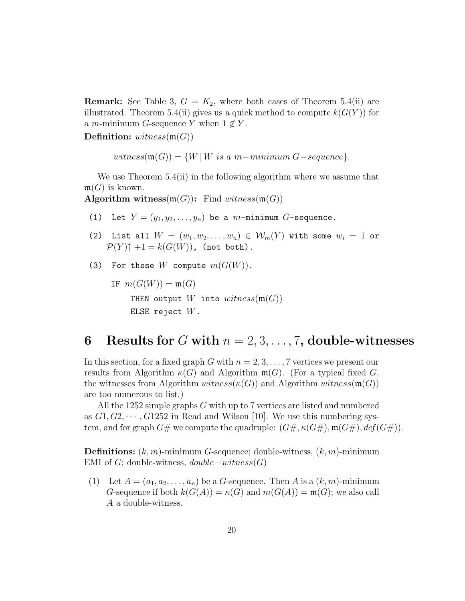**Remark:** See Table 3,  $G = K_2$ , where both cases of Theorem 5.4(ii) are illustrated. Theorem 5.4(ii) gives us a quick method to compute  $k(G(Y))$  for a *m*-minimum *G*-sequence *Y* when  $1 \notin Y$ .

**Definition:** *witness*(m(*G*))

 $witness(\mathfrak{m}(G)) = \{W | W \text{ is a } m-minimum \ G-sequence \}.$ 

We use Theorem 5.4(ii) in the following algorithm where we assume that  $\mathfrak{m}(G)$  is known.

**Algorithm witness** $(m(G))$ : Find *witness* $(m(G))$ 

- (1) Let  $Y = (y_1, y_2, \ldots, y_n)$  be a *m*-minimum *G*-sequence.
- (2) List all  $W = (w_1, w_2, \ldots, w_n) \in \mathcal{W}_m(Y)$  with some  $w_i = 1$  or  $\mathcal{P}(Y) \uparrow +1 = k(G(W))$ , (not both).
- (3) For these  $W$  compute  $m(G(W))$ .

IF  $m(G(W)) = m(G)$ THEN output  $W$  into  $witness(m(G))$ ELSE reject *W*.

# **6** Results for *G* with  $n = 2, 3, \ldots, 7$ , double-witnesses

In this section, for a fixed graph *G* with  $n = 2, 3, \ldots, 7$  vertices we present our results from Algorithm  $\kappa(G)$  and Algorithm  $\mathfrak{m}(G)$ . (For a typical fixed *G*, the witnesses from Algorithm  $witness(\kappa(G))$  and Algorithm  $witness(\mathfrak{m}(G))$ are too numerous to list.)

All the 1252 simple graphs *G* with up to 7 vertices are listed and numbered as  $G_1, G_2, \cdots, G_1$  *G*1252 in Read and Wilson [10]. We use this numbering system, and for graph  $G#$  we compute the quadruple:  $(G#, \kappa(G#), \mathfrak{m}(G#), \text{def}(G#)).$ 

**Definitions:** (*k,m*)-minimum *G*-sequence; double-witness, (*k,m*)-minimum EMI of *G*; double-witness, *double*−*witness*(*G*)

(1) Let  $A = (a_1, a_2, \ldots, a_n)$  be a *G*-sequence. Then *A* is a  $(k, m)$ -minimum *G*-sequence if both  $k(G(A)) = \kappa(G)$  and  $m(G(A)) = \mathfrak{m}(G)$ ; we also call *A* a double-witness.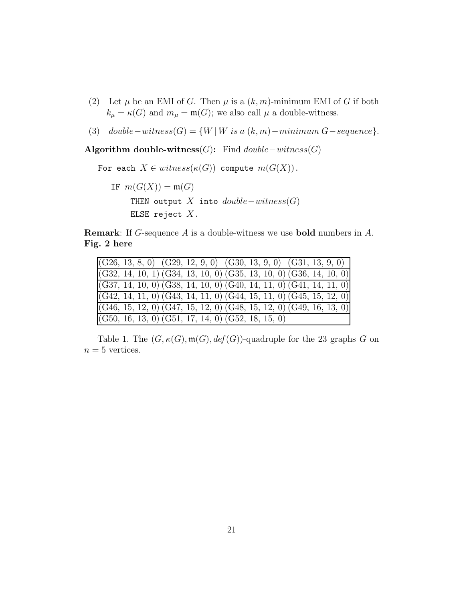- (2) Let  $\mu$  be an EMI of *G*. Then  $\mu$  is a  $(k, m)$ -minimum EMI of *G* if both  $k_{\mu} = \kappa(G)$  and  $m_{\mu} = \mathfrak{m}(G)$ ; we also call  $\mu$  a double-witness.
- (3)  $double-witness(G) = \{W | W \text{ is a } (k,m) minimum G sequence\}.$

**Algorithm double-witness**(*G*)**:** Find *double*−*witness*(*G*)

For each  $X \in \text{witness}(\kappa(G))$  compute  $m(G(X))$ .

IF  $m(G(X)) = m(G)$ THEN output *X* into *double*−*witness*(*G*) ELSE reject *X*.

**Remark**: If *G*-sequence *A* is a double-witness we use **bold** numbers in *A*. **Fig. 2 here**

| $ (G26, 13, 8, 0)$ $(G29, 12, 9, 0)$ $(G30, 13, 9, 0)$ $(G31, 13, 9, 0)$     |
|------------------------------------------------------------------------------|
| $ (G32, 14, 10, 1) (G34, 13, 10, 0) (G35, 13, 10, 0) (G36, 14, 10, 0) $      |
| $ (G37, 14, 10, 0)$ $(G38, 14, 10, 0)$ $(G40, 14, 11, 0)$ $(G41, 14, 11, 0)$ |
| $ (G42, 14, 11, 0)$ $(G43, 14, 11, 0)$ $(G44, 15, 11, 0)$ $(G45, 15, 12, 0)$ |
| $ (G46, 15, 12, 0)$ $(G47, 15, 12, 0)$ $(G48, 15, 12, 0)$ $(G49, 16, 13, 0)$ |
| $( G50, 16, 13, 0) ( G51, 17, 14, 0) ( G52, 18, 15, 0)$                      |

Table 1. The  $(G, \kappa(G), \mathfrak{m}(G), \text{def}(G))$ -quadruple for the 23 graphs *G* on  $n = 5$  vertices.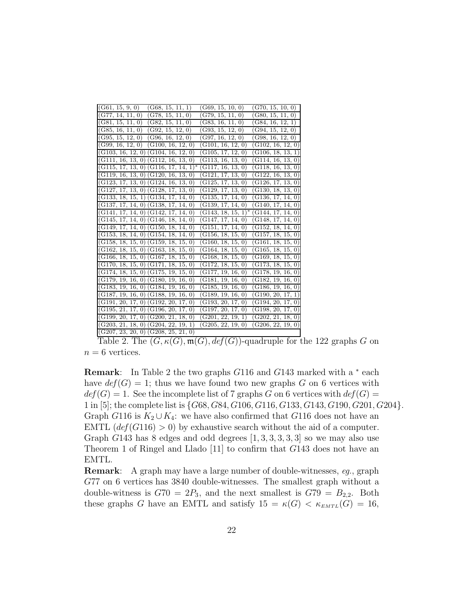| (G78, 15, 11, 0)<br>(G79, 15, 11, 0)<br>(G80, 15, 11, 0)<br>(G77, 14, 11, 0)<br>(G81, 15, 11, 0)<br>(G82, 15, 11, 0)<br>(G83, 16, 11, 0)<br>(G84, 16, 12, 1)<br>(G85, 16, 11, 0)<br>(G92, 15, 12, 0)<br>(G93, 15, 12, 0)<br>(G94, 15, 12, 0)<br>(G95, 15, 12, 0)<br>(G96, 16, 12, 0)<br>(G97, 16, 12, 0)<br>(G98, 16, 12, 0)<br>$(G99, 16, 12, 0)$ $(G100, 16, 12, 0)$<br>(G101, 16, 12, 0)<br>(G102, 16, 12, 0)<br>$(G103, 16, 12, 0)$ $(G104, 16, 12, 0)$<br>(G105, 17, 12, 0)<br>(G106, 18, 13, 1)<br>$(G111, 16, 13, 0)$ $(G112, 16, 13, 0)$<br>(G113, 16, 13, 0)<br>(G114, 16, 13, 0)<br>$(G115, 17, 13, 0)$ $(G116, 17, 14, 1)^*$<br>$(\overline{\rm G}118,\,16,\,13,\,0)$<br>(G117, 16, 13, 0)<br>$(G119, 16, 13, 0)$ $(G120, 16, 13, 0)$<br>(G121, 17, 13, 0)<br>(G122, 16, 13, 0)<br>$(G123, 17, 13, 0)$ $(G124, 16, 13, 0)$<br>(G125, 17, 13, 0)<br>(G126, 17, 13, 0)<br>$(G127, 17, 13, 0)$ $(G128, 17, 13, 0)$<br>(G130, 18, 13, 0)<br>(G129, 17, 13, 0)<br>$(G133, 18, 15, 1)$ $(G134, 17, 14, 0)$<br>(G135, 17, 14, 0)<br>(G136, 17, 14, 0)<br>$(G137, 17, 14, 0)$ $(G138, 17, 14, 0)$<br>(G139, 17, 14, 0)<br>(G140, 17, 14, 0)<br>$(G141, 17, 14, 0)$ $(G142, 17, 14, 0)$<br>$(G143, 18, 15, 1)^*$<br>(G144, 17, 14, 0)<br>$(G145, 17, 14, 0)$ $(G146, 18, 14, 0)$<br>(G147, 17, 14, 0)<br>(G148, 17, 14, 0)<br>$(G149, 17, 14, 0)$ $(G150, 18, 14, 0)$<br>(G152, 18, 14, 0)<br>(G151, 17, 14, 0)<br>$(G153, 18, 14, 0)$ $(G154, 18, 14, 0)$<br>(G156, 18, 15, 0)<br>(G157, 18, 15, 0)<br>$(G158, 18, 15, 0)$ $(G159, 18, 15, 0)$<br>(G160, 18, 15, 0)<br>(G161, 18, 15, 0)<br>$(G162, 18, 15, 0)$ $(G163, 18, 15, 0)$<br>(G164, 18, 15, 0)<br>(G165, 18, 15, 0)<br>$(G166, 18, 15, 0)$ $\overline{(G167, 18, 15, 0)}$<br>(G168, 18, 15, 0)<br>(G169, 18, 15, 0)<br>$(G170, 18, 15, 0)$ $(G171, 18, 15, 0)$<br>(G173, 18, 15, 0)<br>(G172, 18, 15, 0)<br>$(G174, 18, 15, 0)$ $(G175, 19, 15, 0)$<br>$(G178,\,19,\,16,\,0)$<br>(G177, 19, 16, 0)<br>$(G179, 19, 16, 0)$ $(G180, 19, 16, 0)$<br>(G182, 19, 16, 0)<br>(G181, 19, 16, 0)<br>$(G183, 19, 16, 0)$ $(G184, 19, 16, 0)$<br>(G185, 19, 16, 0)<br>(G186, 19, 16, 0)<br>$(G187, 19, 16, 0)$ $(G188, 19, 16, 0)$<br>(G189, 19, 16, 0)<br>(G190, 20, 17, 1)<br>$(G191, 20, 17, 0)$ $(G192, 20, 17, 0)$<br>(G193, 20, 17, 0)<br>(G194, 20, 17, 0)<br>$(G195, 21, 17, 0)$ $(G196, 20, 17, 0)$<br>(G197, 20, 17, 0)<br>(G198, 20, 17, 0)<br>(G201, 22, 19, 1)<br>(G202, 21, 18, 0)<br>$(G199, 20, 17, 0)$ $(G200, 21, 18, 0)$<br>$(G203, 21, 18, 0)$ $(G204, 22, 19, 1)$<br>(G205, 22, 19, 0)<br>(G206, 22, 19, 0) |                                         |                  |                  |
|------------------------------------------------------------------------------------------------------------------------------------------------------------------------------------------------------------------------------------------------------------------------------------------------------------------------------------------------------------------------------------------------------------------------------------------------------------------------------------------------------------------------------------------------------------------------------------------------------------------------------------------------------------------------------------------------------------------------------------------------------------------------------------------------------------------------------------------------------------------------------------------------------------------------------------------------------------------------------------------------------------------------------------------------------------------------------------------------------------------------------------------------------------------------------------------------------------------------------------------------------------------------------------------------------------------------------------------------------------------------------------------------------------------------------------------------------------------------------------------------------------------------------------------------------------------------------------------------------------------------------------------------------------------------------------------------------------------------------------------------------------------------------------------------------------------------------------------------------------------------------------------------------------------------------------------------------------------------------------------------------------------------------------------------------------------------------------------------------------------------------------------------------------------------------------------------------------------------------------------------------------------------------------------------------------------------------------------------------------------------------------------------------------------------------------------------------------------------------------------------------------------------------------------------------------------------------------|-----------------------------------------|------------------|------------------|
|                                                                                                                                                                                                                                                                                                                                                                                                                                                                                                                                                                                                                                                                                                                                                                                                                                                                                                                                                                                                                                                                                                                                                                                                                                                                                                                                                                                                                                                                                                                                                                                                                                                                                                                                                                                                                                                                                                                                                                                                                                                                                                                                                                                                                                                                                                                                                                                                                                                                                                                                                                                    | (G61, 15, 9, 0)<br>(G68, 15, 11, 1)     | (G69, 15, 10, 0) | (G70, 15, 10, 0) |
|                                                                                                                                                                                                                                                                                                                                                                                                                                                                                                                                                                                                                                                                                                                                                                                                                                                                                                                                                                                                                                                                                                                                                                                                                                                                                                                                                                                                                                                                                                                                                                                                                                                                                                                                                                                                                                                                                                                                                                                                                                                                                                                                                                                                                                                                                                                                                                                                                                                                                                                                                                                    |                                         |                  |                  |
|                                                                                                                                                                                                                                                                                                                                                                                                                                                                                                                                                                                                                                                                                                                                                                                                                                                                                                                                                                                                                                                                                                                                                                                                                                                                                                                                                                                                                                                                                                                                                                                                                                                                                                                                                                                                                                                                                                                                                                                                                                                                                                                                                                                                                                                                                                                                                                                                                                                                                                                                                                                    |                                         |                  |                  |
|                                                                                                                                                                                                                                                                                                                                                                                                                                                                                                                                                                                                                                                                                                                                                                                                                                                                                                                                                                                                                                                                                                                                                                                                                                                                                                                                                                                                                                                                                                                                                                                                                                                                                                                                                                                                                                                                                                                                                                                                                                                                                                                                                                                                                                                                                                                                                                                                                                                                                                                                                                                    |                                         |                  |                  |
|                                                                                                                                                                                                                                                                                                                                                                                                                                                                                                                                                                                                                                                                                                                                                                                                                                                                                                                                                                                                                                                                                                                                                                                                                                                                                                                                                                                                                                                                                                                                                                                                                                                                                                                                                                                                                                                                                                                                                                                                                                                                                                                                                                                                                                                                                                                                                                                                                                                                                                                                                                                    |                                         |                  |                  |
|                                                                                                                                                                                                                                                                                                                                                                                                                                                                                                                                                                                                                                                                                                                                                                                                                                                                                                                                                                                                                                                                                                                                                                                                                                                                                                                                                                                                                                                                                                                                                                                                                                                                                                                                                                                                                                                                                                                                                                                                                                                                                                                                                                                                                                                                                                                                                                                                                                                                                                                                                                                    |                                         |                  |                  |
|                                                                                                                                                                                                                                                                                                                                                                                                                                                                                                                                                                                                                                                                                                                                                                                                                                                                                                                                                                                                                                                                                                                                                                                                                                                                                                                                                                                                                                                                                                                                                                                                                                                                                                                                                                                                                                                                                                                                                                                                                                                                                                                                                                                                                                                                                                                                                                                                                                                                                                                                                                                    |                                         |                  |                  |
|                                                                                                                                                                                                                                                                                                                                                                                                                                                                                                                                                                                                                                                                                                                                                                                                                                                                                                                                                                                                                                                                                                                                                                                                                                                                                                                                                                                                                                                                                                                                                                                                                                                                                                                                                                                                                                                                                                                                                                                                                                                                                                                                                                                                                                                                                                                                                                                                                                                                                                                                                                                    |                                         |                  |                  |
|                                                                                                                                                                                                                                                                                                                                                                                                                                                                                                                                                                                                                                                                                                                                                                                                                                                                                                                                                                                                                                                                                                                                                                                                                                                                                                                                                                                                                                                                                                                                                                                                                                                                                                                                                                                                                                                                                                                                                                                                                                                                                                                                                                                                                                                                                                                                                                                                                                                                                                                                                                                    |                                         |                  |                  |
|                                                                                                                                                                                                                                                                                                                                                                                                                                                                                                                                                                                                                                                                                                                                                                                                                                                                                                                                                                                                                                                                                                                                                                                                                                                                                                                                                                                                                                                                                                                                                                                                                                                                                                                                                                                                                                                                                                                                                                                                                                                                                                                                                                                                                                                                                                                                                                                                                                                                                                                                                                                    |                                         |                  |                  |
|                                                                                                                                                                                                                                                                                                                                                                                                                                                                                                                                                                                                                                                                                                                                                                                                                                                                                                                                                                                                                                                                                                                                                                                                                                                                                                                                                                                                                                                                                                                                                                                                                                                                                                                                                                                                                                                                                                                                                                                                                                                                                                                                                                                                                                                                                                                                                                                                                                                                                                                                                                                    |                                         |                  |                  |
|                                                                                                                                                                                                                                                                                                                                                                                                                                                                                                                                                                                                                                                                                                                                                                                                                                                                                                                                                                                                                                                                                                                                                                                                                                                                                                                                                                                                                                                                                                                                                                                                                                                                                                                                                                                                                                                                                                                                                                                                                                                                                                                                                                                                                                                                                                                                                                                                                                                                                                                                                                                    |                                         |                  |                  |
|                                                                                                                                                                                                                                                                                                                                                                                                                                                                                                                                                                                                                                                                                                                                                                                                                                                                                                                                                                                                                                                                                                                                                                                                                                                                                                                                                                                                                                                                                                                                                                                                                                                                                                                                                                                                                                                                                                                                                                                                                                                                                                                                                                                                                                                                                                                                                                                                                                                                                                                                                                                    |                                         |                  |                  |
|                                                                                                                                                                                                                                                                                                                                                                                                                                                                                                                                                                                                                                                                                                                                                                                                                                                                                                                                                                                                                                                                                                                                                                                                                                                                                                                                                                                                                                                                                                                                                                                                                                                                                                                                                                                                                                                                                                                                                                                                                                                                                                                                                                                                                                                                                                                                                                                                                                                                                                                                                                                    |                                         |                  |                  |
|                                                                                                                                                                                                                                                                                                                                                                                                                                                                                                                                                                                                                                                                                                                                                                                                                                                                                                                                                                                                                                                                                                                                                                                                                                                                                                                                                                                                                                                                                                                                                                                                                                                                                                                                                                                                                                                                                                                                                                                                                                                                                                                                                                                                                                                                                                                                                                                                                                                                                                                                                                                    |                                         |                  |                  |
|                                                                                                                                                                                                                                                                                                                                                                                                                                                                                                                                                                                                                                                                                                                                                                                                                                                                                                                                                                                                                                                                                                                                                                                                                                                                                                                                                                                                                                                                                                                                                                                                                                                                                                                                                                                                                                                                                                                                                                                                                                                                                                                                                                                                                                                                                                                                                                                                                                                                                                                                                                                    |                                         |                  |                  |
|                                                                                                                                                                                                                                                                                                                                                                                                                                                                                                                                                                                                                                                                                                                                                                                                                                                                                                                                                                                                                                                                                                                                                                                                                                                                                                                                                                                                                                                                                                                                                                                                                                                                                                                                                                                                                                                                                                                                                                                                                                                                                                                                                                                                                                                                                                                                                                                                                                                                                                                                                                                    |                                         |                  |                  |
|                                                                                                                                                                                                                                                                                                                                                                                                                                                                                                                                                                                                                                                                                                                                                                                                                                                                                                                                                                                                                                                                                                                                                                                                                                                                                                                                                                                                                                                                                                                                                                                                                                                                                                                                                                                                                                                                                                                                                                                                                                                                                                                                                                                                                                                                                                                                                                                                                                                                                                                                                                                    |                                         |                  |                  |
|                                                                                                                                                                                                                                                                                                                                                                                                                                                                                                                                                                                                                                                                                                                                                                                                                                                                                                                                                                                                                                                                                                                                                                                                                                                                                                                                                                                                                                                                                                                                                                                                                                                                                                                                                                                                                                                                                                                                                                                                                                                                                                                                                                                                                                                                                                                                                                                                                                                                                                                                                                                    |                                         |                  |                  |
|                                                                                                                                                                                                                                                                                                                                                                                                                                                                                                                                                                                                                                                                                                                                                                                                                                                                                                                                                                                                                                                                                                                                                                                                                                                                                                                                                                                                                                                                                                                                                                                                                                                                                                                                                                                                                                                                                                                                                                                                                                                                                                                                                                                                                                                                                                                                                                                                                                                                                                                                                                                    |                                         |                  |                  |
|                                                                                                                                                                                                                                                                                                                                                                                                                                                                                                                                                                                                                                                                                                                                                                                                                                                                                                                                                                                                                                                                                                                                                                                                                                                                                                                                                                                                                                                                                                                                                                                                                                                                                                                                                                                                                                                                                                                                                                                                                                                                                                                                                                                                                                                                                                                                                                                                                                                                                                                                                                                    |                                         |                  |                  |
|                                                                                                                                                                                                                                                                                                                                                                                                                                                                                                                                                                                                                                                                                                                                                                                                                                                                                                                                                                                                                                                                                                                                                                                                                                                                                                                                                                                                                                                                                                                                                                                                                                                                                                                                                                                                                                                                                                                                                                                                                                                                                                                                                                                                                                                                                                                                                                                                                                                                                                                                                                                    |                                         |                  |                  |
|                                                                                                                                                                                                                                                                                                                                                                                                                                                                                                                                                                                                                                                                                                                                                                                                                                                                                                                                                                                                                                                                                                                                                                                                                                                                                                                                                                                                                                                                                                                                                                                                                                                                                                                                                                                                                                                                                                                                                                                                                                                                                                                                                                                                                                                                                                                                                                                                                                                                                                                                                                                    |                                         |                  |                  |
|                                                                                                                                                                                                                                                                                                                                                                                                                                                                                                                                                                                                                                                                                                                                                                                                                                                                                                                                                                                                                                                                                                                                                                                                                                                                                                                                                                                                                                                                                                                                                                                                                                                                                                                                                                                                                                                                                                                                                                                                                                                                                                                                                                                                                                                                                                                                                                                                                                                                                                                                                                                    |                                         |                  |                  |
|                                                                                                                                                                                                                                                                                                                                                                                                                                                                                                                                                                                                                                                                                                                                                                                                                                                                                                                                                                                                                                                                                                                                                                                                                                                                                                                                                                                                                                                                                                                                                                                                                                                                                                                                                                                                                                                                                                                                                                                                                                                                                                                                                                                                                                                                                                                                                                                                                                                                                                                                                                                    |                                         |                  |                  |
|                                                                                                                                                                                                                                                                                                                                                                                                                                                                                                                                                                                                                                                                                                                                                                                                                                                                                                                                                                                                                                                                                                                                                                                                                                                                                                                                                                                                                                                                                                                                                                                                                                                                                                                                                                                                                                                                                                                                                                                                                                                                                                                                                                                                                                                                                                                                                                                                                                                                                                                                                                                    |                                         |                  |                  |
|                                                                                                                                                                                                                                                                                                                                                                                                                                                                                                                                                                                                                                                                                                                                                                                                                                                                                                                                                                                                                                                                                                                                                                                                                                                                                                                                                                                                                                                                                                                                                                                                                                                                                                                                                                                                                                                                                                                                                                                                                                                                                                                                                                                                                                                                                                                                                                                                                                                                                                                                                                                    |                                         |                  |                  |
|                                                                                                                                                                                                                                                                                                                                                                                                                                                                                                                                                                                                                                                                                                                                                                                                                                                                                                                                                                                                                                                                                                                                                                                                                                                                                                                                                                                                                                                                                                                                                                                                                                                                                                                                                                                                                                                                                                                                                                                                                                                                                                                                                                                                                                                                                                                                                                                                                                                                                                                                                                                    |                                         |                  |                  |
|                                                                                                                                                                                                                                                                                                                                                                                                                                                                                                                                                                                                                                                                                                                                                                                                                                                                                                                                                                                                                                                                                                                                                                                                                                                                                                                                                                                                                                                                                                                                                                                                                                                                                                                                                                                                                                                                                                                                                                                                                                                                                                                                                                                                                                                                                                                                                                                                                                                                                                                                                                                    |                                         |                  |                  |
|                                                                                                                                                                                                                                                                                                                                                                                                                                                                                                                                                                                                                                                                                                                                                                                                                                                                                                                                                                                                                                                                                                                                                                                                                                                                                                                                                                                                                                                                                                                                                                                                                                                                                                                                                                                                                                                                                                                                                                                                                                                                                                                                                                                                                                                                                                                                                                                                                                                                                                                                                                                    |                                         |                  |                  |
|                                                                                                                                                                                                                                                                                                                                                                                                                                                                                                                                                                                                                                                                                                                                                                                                                                                                                                                                                                                                                                                                                                                                                                                                                                                                                                                                                                                                                                                                                                                                                                                                                                                                                                                                                                                                                                                                                                                                                                                                                                                                                                                                                                                                                                                                                                                                                                                                                                                                                                                                                                                    | $(G207, 23, 20, 0)$ $(G208, 25, 21, 0)$ |                  |                  |

Table 2. The  $(G, \kappa(G), \mathfrak{m}(G), \text{def}(G))$ -quadruple for the 122 graphs *G* on  $n = 6$  vertices.

**Remark**: In Table 2 the two graphs *G*116 and *G*143 marked with a <sup>∗</sup> each have  $def(G) = 1$ ; thus we have found two new graphs *G* on 6 vertices with  $def(G) = 1$ . See the incomplete list of 7 graphs *G* on 6 vertices with  $def(G) =$ 1 in [5]; the complete list is {*G*68*, G*84*, G*106*, G*116*, G*133*, G*143*, G*190*, G*201*, G*204}. Graph  $G116$  is  $K_2 \cup K_4$ : we have also confirmed that  $G116$  does not have an EMTL  $\left(\frac{def(G116)}{>}0\right)$  by exhaustive search without the aid of a computer. Graph *G*143 has 8 edges and odd degrees [1*,* 3*,* 3*,* 3*,* 3*,* 3] so we may also use Theorem 1 of Ringel and Llado [11] to confirm that *G*143 does not have an EMTL.

**Remark**: A graph may have a large number of double-witnesses, *eg.*, graph *G*77 on 6 vertices has 3840 double-witnesses. The smallest graph without a double-witness is  $G70 = 2P_3$ , and the next smallest is  $G79 = B_{2,2}$ . Both these graphs *G* have an EMTL and satisfy  $15 = \kappa(G) < \kappa_{EMTL}(G) = 16$ ,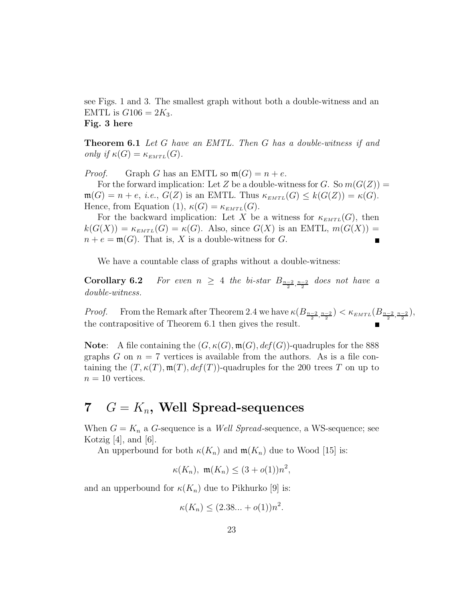see Figs. 1 and 3. The smallest graph without both a double-witness and an EMTL is  $G106 = 2K_3$ . **Fig. 3 here**

**Theorem 6.1** *Let G have an EMTL. Then G has a double-witness if and only if*  $\kappa(G) = \kappa_{EMTL}(G)$ .

*Proof.* Graph *G* has an EMTL so  $\mathfrak{m}(G) = n + e$ .

For the forward implication: Let Z be a double-witness for *G*. So  $m(G(Z))$  =  $\mathfrak{m}(G) = n + e$ , *i.e.*,  $G(Z)$  is an EMTL. Thus  $\kappa_{EMTL}(G) \leq k(G(Z)) = \kappa(G)$ . Hence, from Equation (1),  $\kappa(G) = \kappa_{EMTL}(G)$ .

For the backward implication: Let *X* be a witness for  $\kappa_{EMTL}(G)$ , then  $k(G(X)) = \kappa_{EMTL}(G) = \kappa(G)$ . Also, since  $G(X)$  is an EMTL,  $m(G(X)) =$  $n + e = \mathfrak{m}(G)$ . That is, *X* is a double-witness for *G*. Г

We have a countable class of graphs without a double-witness:

**Corollary 6.2** *For even*  $n \geq 4$  *the bi-star*  $B_{\frac{n-2}{2}, \frac{n-2}{2}}$  *does not have a double-witness.*

*Proof.* From the Remark after Theorem 2.4 we have  $\kappa(B_{\frac{n-2}{2},\frac{n-2}{2}}) < \kappa_{EMTL}(B_{\frac{n-2}{2},\frac{n-2}{2}})$ , the contrapositive of Theorem 6.1 then gives the result.

**Note**: A file containing the  $(G, \kappa(G), \mathfrak{m}(G), \text{def}(G))$ -quadruples for the 888 graphs  $G$  on  $n = 7$  vertices is available from the authors. As is a file containing the  $(T, \kappa(T), \mathfrak{m}(T), \text{def}(T))$ -quadruples for the 200 trees *T* on up to  $n = 10$  vertices.

# **7** *G* = *Kn***, Well Spread-sequences**

When  $G = K_n$  a *G*-sequence is a *Well Spread*-sequence, a WS-sequence; see Kotzig  $[4]$ , and  $[6]$ .

An upperbound for both  $\kappa(K_n)$  and  $\mathfrak{m}(K_n)$  due to Wood [15] is:

$$
\kappa(K_n), \ \mathfrak{m}(K_n) \le (3 + o(1))n^2,
$$

and an upperbound for  $\kappa(K_n)$  due to Pikhurko [9] is:

$$
\kappa(K_n) \le (2.38...+o(1))n^2.
$$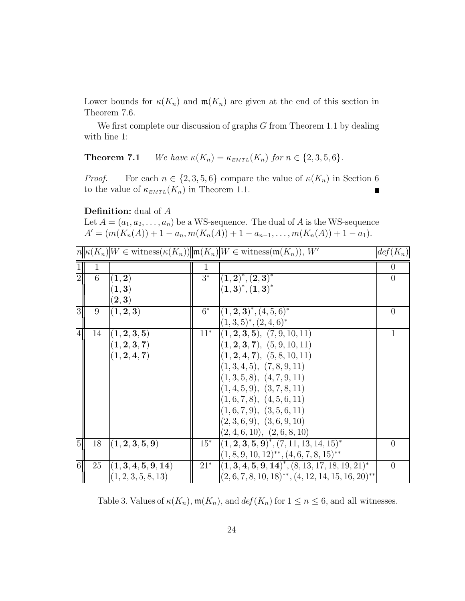Lower bounds for  $\kappa(K_n)$  and  $\mathfrak{m}(K_n)$  are given at the end of this section in Theorem 7.6.

We first complete our discussion of graphs *G* from Theorem 1.1 by dealing with line 1:

**Theorem 7.1** *We have*  $\kappa(K_n) = \kappa_{EMTL}(K_n)$  *for*  $n \in \{2, 3, 5, 6\}.$ 

*Proof.* For each  $n \in \{2, 3, 5, 6\}$  compare the value of  $\kappa(K_n)$  in Section 6 to the value of  $\kappa_{EMTL}(K_n)$  in Theorem 1.1.  $\blacksquare$ 

**Definition:** dual of *A*

Let  $A = (a_1, a_2, \ldots, a_n)$  be a WS-sequence. The dual of A is the WS-sequence  $A' = (m(K_n(A)) + 1 - a_n, m(K_n(A)) + 1 - a_{n-1}, \ldots, m(K_n(A)) + 1 - a_1).$ 

|                |    |                           |        | $ n \kappa(K_n) W \in \text{witness}(\kappa(K_n))  m(K_n) W \in \text{witness}(m(K_n)), W'$ | $def(K_n)$       |
|----------------|----|---------------------------|--------|---------------------------------------------------------------------------------------------|------------------|
|                | 1  |                           | T      |                                                                                             | $\theta$         |
| $\overline{2}$ | 6  | (1, 2)                    | $3^*$  | $\left  \left( 1,2\right) ^{\ast },\left( 2,3\right) ^{\ast }\right $                       | $\theta$         |
|                |    | (1, 3)                    |        | $(1,3)^*, (1,3)^*$                                                                          |                  |
|                |    | $(\mathbf{2},\mathbf{3})$ |        |                                                                                             |                  |
| 3              | 9  | (1,2,3)                   | $6^*$  | $ (1,2,3)^*, (4,5,6)^*$                                                                     | $\left( \right)$ |
|                |    |                           |        | $(1,3,5)^*, (2,4,6)^*$                                                                      |                  |
| 4              | 14 | $\vert (1,2,3,5) \vert$   | $11*$  | (1, 2, 3, 5), (7, 9, 10, 11)                                                                |                  |
|                |    | (1, 2, 3, 7)              |        | (1, 2, 3, 7), (5, 9, 10, 11)                                                                |                  |
|                |    | (1, 2, 4, 7)              |        | (1, 2, 4, 7), (5, 8, 10, 11)                                                                |                  |
|                |    |                           |        | (1,3,4,5), (7,8,9,11)                                                                       |                  |
|                |    |                           |        | (1,3,5,8), (4,7,9,11)                                                                       |                  |
|                |    |                           |        | (1,4,5,9), (3,7,8,11)                                                                       |                  |
|                |    |                           |        | (1,6,7,8), (4,5,6,11)                                                                       |                  |
|                |    |                           |        | (1,6,7,9), (3,5,6,11)                                                                       |                  |
|                |    |                           |        | (2,3,6,9), (3,6,9,10)                                                                       |                  |
|                |    |                           |        | (2, 4, 6, 10), (2, 6, 8, 10)                                                                |                  |
| 5 <sub>l</sub> | 18 | (1, 2, 3, 5, 9)           | $15^*$ | $(1, 2, 3, 5, 9)^*, (7, 11, 13, 14, 15)^*$                                                  | $\theta$         |
|                |    |                           |        | $(1, 8, 9, 10, 12)^{**}, (4, 6, 7, 8, 15)^{**}$                                             |                  |
| $6 \mid$       | 25 | (1, 3, 4, 5, 9, 14)       | $21*$  | $(1, 3, 4, 5, 9, 14)^*$ , $(8, 13, 17, 18, 19, 21)^*$                                       | $\theta$         |
|                |    | (1, 2, 3, 5, 8, 13)       |        | $(2, 6, 7, 8, 10, 18)$ <sup>**</sup> , $(4, 12, 14, 15, 16, 20)$ <sup>**</sup>              |                  |

Table 3. Values of  $\kappa(K_n)$ ,  $\mathfrak{m}(K_n)$ , and  $\det(K_n)$  for  $1 \leq n \leq 6$ , and all witnesses.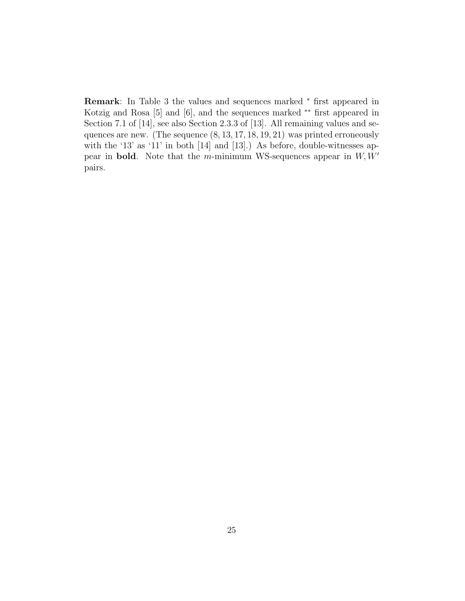**Remark**: In Table 3 the values and sequences marked <sup>∗</sup> first appeared in Kotzig and Rosa [5] and [6], and the sequences marked \*\* first appeared in Section 7.1 of [14], see also Section 2.3.3 of [13]. All remaining values and sequences are new. (The sequence (8*,* 13*,* 17*,* 18*,* 19*,* 21) was printed erroneously with the '13' as '11' in both [14] and [13].) As before, double-witnesses appear in **bold**. Note that the *m*-minimum WS-sequences appear in  $W, W'$ pairs.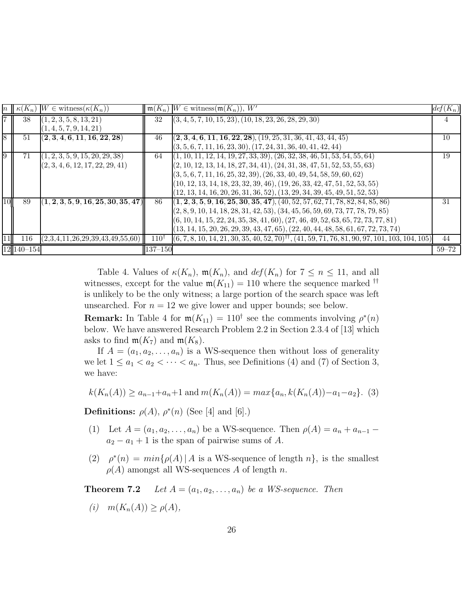|                 | $n \mid \kappa(K_n)$ | $W \in \text{witness}(\kappa(K_n))$                 |                 | $\mathfrak{m}(K_n)$ $W \in \text{witness}(\mathfrak{m}(K_n)), W'$                                            | $def(K_n)$ |
|-----------------|----------------------|-----------------------------------------------------|-----------------|--------------------------------------------------------------------------------------------------------------|------------|
| $\overline{7}$  | 38                   | (1, 2, 3, 5, 8, 13, 21)                             | 32              | $(3, 4, 5, 7, 10, 15, 23), (10, 18, 23, 26, 28, 29, 30)$                                                     |            |
|                 |                      | (1, 4, 5, 7, 9, 14, 21)                             |                 |                                                                                                              |            |
| 8               | 51                   | (2, 3, 4, 6, 11, 16, 22, 28)                        | 46              | $(2, 3, 4, 6, 11, 16, 22, 28), (19, 25, 31, 36, 41, 43, 44, 45)$                                             | 10         |
|                 |                      |                                                     |                 | $(3, 5, 6, 7, 11, 16, 23, 30), (17, 24, 31, 36, 40, 41, 42, 44)$                                             |            |
| $9\overline{)}$ | 71                   | (1, 2, 3, 5, 9, 15, 20, 29, 38)                     | 64              | $(1, 10, 11, 12, 14, 19, 27, 33, 39), (26, 32, 38, 46, 51, 53, 54, 55, 64)$                                  | 19         |
|                 |                      | (2, 3, 4, 6, 12, 17, 22, 29, 41)                    |                 | $(2, 10, 12, 13, 14, 18, 27, 34, 41), (24, 31, 38, 47, 51, 52, 53, 55, 63)$                                  |            |
|                 |                      |                                                     |                 | $(3, 5, 6, 7, 11, 16, 25, 32, 39), (26, 33, 40, 49, 54, 58, 59, 60, 62)$                                     |            |
|                 |                      |                                                     |                 | $(10, 12, 13, 14, 18, 23, 32, 39, 46), (19, 26, 33, 42, 47, 51, 52, 53, 55)$                                 |            |
|                 |                      |                                                     |                 | $(12, 13, 14, 16, 20, 26, 31, 36, 52), (13, 29, 34, 39, 45, 49, 51, 52, 53)$                                 |            |
| 10              | 89                   | $\left\vert (1,2,3,5,9,16,25,30,35,47) \right\vert$ | 86              | $(1, 2, 3, 5, 9, 16, 25, 30, 35, 47), (40, 52, 57, 62, 71, 78, 82, 84, 85, 86)$                              | 31         |
|                 |                      |                                                     |                 | $(2, 8, 9, 10, 14, 18, 28, 31, 42, 53), (34, 45, 56, 59, 69, 73, 77, 78, 79, 85)$                            |            |
|                 |                      |                                                     |                 | $(6, 10, 14, 15, 22, 24, 35, 38, 41, 60), (27, 46, 49, 52, 63, 65, 72, 73, 77, 81)$                          |            |
|                 |                      |                                                     |                 | $(13, 14, 15, 20, 26, 29, 39, 43, 47, 65), (22, 40, 44, 48, 58, 61, 67, 72, 73, 74)$                         |            |
| 11              | 116                  | (2,3,4,11,26,29,39,43,49,55,60)                     | $110^{\dagger}$ | $(6, 7, 8, 10, 14, 21, 30, 35, 40, 52, 70)$ <sup>††</sup> , (41, 59, 71, 76, 81, 90, 97, 101, 103, 104, 105) | 44         |
|                 | $12 140-154$         |                                                     | $137 - 150$     |                                                                                                              | $59 - 72$  |

Table 4. Values of  $\kappa(K_n)$ ,  $\mathfrak{m}(K_n)$ , and  $\text{def}(K_n)$  for  $7 \leq n \leq 11$ , and all witnesses, except for the value  $\mathfrak{m}(K_{11}) = 110$  where the sequence marked <sup>††</sup> is unlikely to be the only witness; a large portion of the search space was left unsearched. For  $n = 12$  we give lower and upper bounds; see below.

**Remark:** In Table 4 for  $\mathfrak{m}(K_{11}) = 110^{\dagger}$  see the comments involving  $\rho^*(n)$ below. We have answered Research Problem 2.2 in Section 2.3.4 of [13] which asks to find  $m(K_7)$  and  $m(K_8)$ .

If  $A = (a_1, a_2, \ldots, a_n)$  is a WS-sequence then without loss of generality we let  $1 \le a_1 < a_2 < \cdots < a_n$ . Thus, see Definitions (4) and (7) of Section 3, we have:

$$
k(K_n(A)) \ge a_{n-1} + a_n + 1
$$
 and  $m(K_n(A)) = max\{a_n, k(K_n(A)) - a_1 - a_2\}$ . (3)

**Definitions:**  $\rho(A)$ ,  $\rho^*(n)$  (See [4] and [6].)

- (1) Let  $A = (a_1, a_2, \ldots, a_n)$  be a WS-sequence. Then  $\rho(A) = a_n + a_{n-1}$  $a_2 - a_1 + 1$  is the span of pairwise sums of *A*.
- (2)  $\rho^*(n) = min{\rho(A) | A \text{ is a WS-sequence of length } n}$ , is the smallest  $\rho(A)$  amongst all WS-sequences *A* of length *n*.

**Theorem 7.2** *Let*  $A = (a_1, a_2, \ldots, a_n)$  *be a WS-sequence. Then* 

 $m(K_n(A)) > \rho(A)$ ,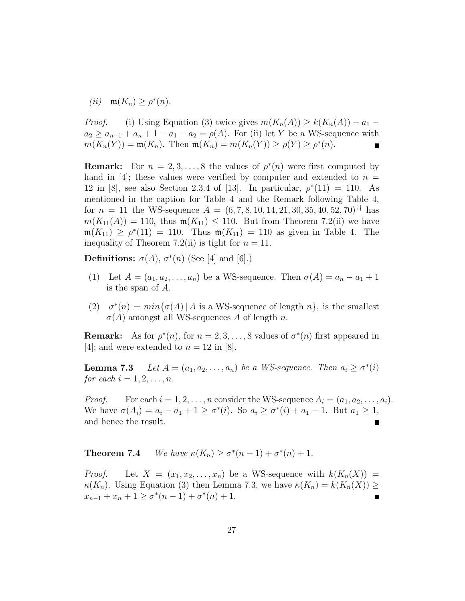$(iii)$  **m** $(K_n) > \rho^*(n)$ .

*Proof.* (i) Using Equation (3) twice gives  $m(K_n(A)) \geq k(K_n(A)) - a_1$  –  $a_2 \ge a_{n-1} + a_n + 1 - a_1 - a_2 = \rho(A)$ . For (ii) let *Y* be a WS-sequence with  $m(K_n(Y)) = m(K_n)$ . Then  $m(K_n) = m(K_n(Y)) \ge \rho(Y) \ge \rho^*(n)$ .

**Remark:** For  $n = 2, 3, ..., 8$  the values of  $\rho^*(n)$  were first computed by hand in [4]; these values were verified by computer and extended to  $n =$ 12 in [8], see also Section 2.3.4 of [13]. In particular,  $\rho^*(11) = 110$ . As mentioned in the caption for Table 4 and the Remark following Table 4, for  $n = 11$  the WS-sequence  $A = (6, 7, 8, 10, 14, 21, 30, 35, 40, 52, 70)$ <sup>††</sup> has  $m(K_{11}(A)) = 110$ , thus  $m(K_{11}) \le 110$ . But from Theorem 7.2(ii) we have  $m(K_{11}) \geq \rho^*(11) = 110$ . Thus  $m(K_{11}) = 110$  as given in Table 4. The inequality of Theorem 7.2(ii) is tight for  $n = 11$ .

**Definitions:**  $\sigma(A)$ ,  $\sigma^*(n)$  (See [4] and [6].)

- (1) Let  $A = (a_1, a_2, \ldots, a_n)$  be a WS-sequence. Then  $\sigma(A) = a_n a_1 + 1$ is the span of *A*.
- (2)  $\sigma^*(n) = min{\sigma(A) | A \text{ is a WS-sequence of length } n}$ , is the smallest  $\sigma(A)$  amongst all WS-sequences *A* of length *n*.

**Remark:** As for  $\rho^*(n)$ , for  $n = 2, 3, \ldots, 8$  values of  $\sigma^*(n)$  first appeared in [4]; and were extended to  $n = 12$  in [8].

**Lemma 7.3** *Let*  $A = (a_1, a_2, \ldots, a_n)$  *be a WS-sequence. Then*  $a_i \geq \sigma^*(i)$ *for each*  $i = 1, 2, ..., n$ .

*Proof.* For each  $i = 1, 2, \ldots, n$  consider the WS-sequence  $A_i = (a_1, a_2, \ldots, a_i)$ . We have  $\sigma(A_i) = a_i - a_1 + 1 \geq \sigma^*(i)$ . So  $a_i \geq \sigma^*(i) + a_1 - 1$ . But  $a_1 \geq 1$ , and hence the result.

**Theorem 7.4** *We have*  $\kappa(K_n) \ge \sigma^*(n-1) + \sigma^*(n) + 1$ *.* 

*Proof.* Let  $X = (x_1, x_2, \ldots, x_n)$  be a WS-sequence with  $k(K_n(X)) =$ *κ*(*K<sub>n</sub>*). Using Equation (3) then Lemma 7.3, we have  $\kappa(K_n) = k(K_n(X)) \ge$ *x*<sup>*n*</sup>−1 + *x*<sup>*n*</sup> + 1 ≥  $\sigma$ <sup>\*</sup>(*n* − 1) +  $\sigma$ <sup>\*</sup>(*n*) + 1. Ē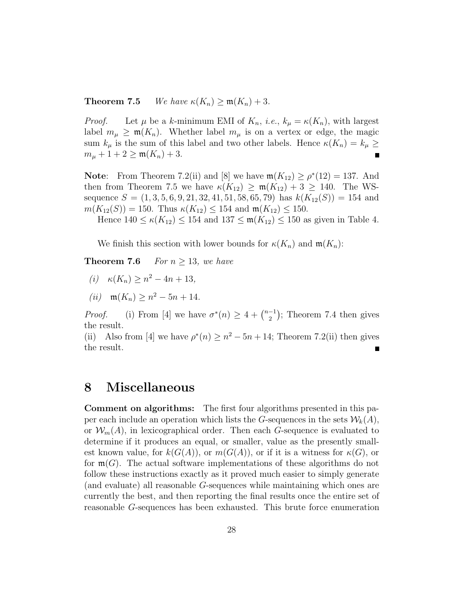**Theorem 7.5** *We have*  $\kappa(K_n) \geq \mathfrak{m}(K_n) + 3$ *.* 

*Proof.* Let  $\mu$  be a *k*-minimum EMI of  $K_n$ , *i.e.*,  $k_{\mu} = \kappa(K_n)$ , with largest label  $m_{\mu} \geq m(K_n)$ . Whether label  $m_{\mu}$  is on a vertex or edge, the magic sum  $k_{\mu}$  is the sum of this label and two other labels. Hence  $\kappa(K_n) = k_{\mu} \geq$  $m_{\mu} + 1 + 2 \geq m(K_n) + 3.$ 

**Note:** From Theorem 7.2(ii) and [8] we have  $\mathfrak{m}(K_{12}) \geq \rho^*(12) = 137$ . And then from Theorem 7.5 we have  $\kappa(K_{12}) \geq \mathfrak{m}(K_{12}) + 3 \geq 140$ . The WSsequence  $S = (1, 3, 5, 6, 9, 21, 32, 41, 51, 58, 65, 79)$  has  $k(K_{12}(S)) = 154$  and  $m(K_{12}(S)) = 150$ . Thus  $\kappa(K_{12}) \leq 154$  and  $m(K_{12}) \leq 150$ .

Hence  $140 \le \kappa(K_{12}) \le 154$  and  $137 \le \mathfrak{m}(K_{12}) \le 150$  as given in Table 4.

We finish this section with lower bounds for  $\kappa(K_n)$  and  $\mathfrak{m}(K_n)$ :

**Theorem 7.6** *For*  $n > 13$ *, we have* 

- $(i)$  *κ*( $K_n$ ) ≥  $n^2 4n + 13$ ,
- $(iii)$  m( $K_n$ ) >  $n^2 5n + 14$ .

*Proof.* (i) From [4] we have  $\sigma^*(n) \geq 4 + \binom{n-1}{2}$ ; Theorem 7.4 then gives the result.

(ii) Also from [4] we have  $\rho^*(n) \geq n^2 - 5n + 14$ ; Theorem 7.2(ii) then gives the result.

### **8 Miscellaneous**

**Comment on algorithms:** The first four algorithms presented in this paper each include an operation which lists the *G*-sequences in the sets  $W_k(A)$ , or  $\mathcal{W}_m(A)$ , in lexicographical order. Then each *G*-sequence is evaluated to determine if it produces an equal, or smaller, value as the presently smallest known value, for  $k(G(A))$ , or  $m(G(A))$ , or if it is a witness for  $\kappa(G)$ , or for  $\mathfrak{m}(G)$ . The actual software implementations of these algorithms do not follow these instructions exactly as it proved much easier to simply generate (and evaluate) all reasonable *G*-sequences while maintaining which ones are currently the best, and then reporting the final results once the entire set of reasonable *G*-sequences has been exhausted. This brute force enumeration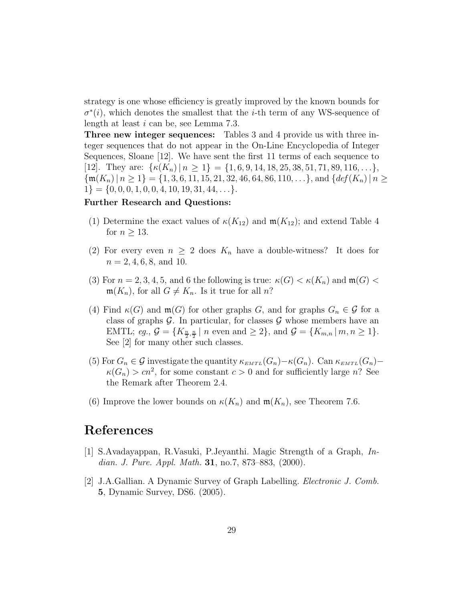strategy is one whose efficiency is greatly improved by the known bounds for  $\sigma^*(i)$ , which denotes the smallest that the *i*-th term of any WS-sequence of length at least *i* can be, see Lemma 7.3.

**Three new integer sequences:** Tables 3 and 4 provide us with three integer sequences that do not appear in the On-Line Encyclopedia of Integer Sequences, Sloane [12]. We have sent the first 11 terms of each sequence to [12]. They are:  $\{\kappa(K_n) \mid n \geq 1\} = \{1, 6, 9, 14, 18, 25, 38, 51, 71, 89, 116, ...\}$  $\{\mathfrak{m}(K_n) \mid n \geq 1\} = \{1, 3, 6, 11, 15, 21, 32, 46, 64, 86, 110, \ldots\},\$  and  $\{def(K_n) \mid n \geq 1\}$  $1$ } = {0, 0, 0, 1, 0, 0, 4, 10, 19, 31, 44, ...}.

### **Further Research and Questions:**

- (1) Determine the exact values of  $\kappa(K_{12})$  and  $\mathfrak{m}(K_{12})$ ; and extend Table 4 for  $n \geq 13$ .
- (2) For every even  $n \geq 2$  does  $K_n$  have a double-witness? It does for  $n = 2, 4, 6, 8, \text{ and } 10.$
- (3) For  $n = 2, 3, 4, 5$ , and 6 the following is true:  $\kappa(G) < \kappa(K_n)$  and  $\mathfrak{m}(G) <$  $\mathfrak{m}(K_n)$ , for all  $G \neq K_n$ . Is it true for all *n*?
- (4) Find  $\kappa(G)$  and  $\mathfrak{m}(G)$  for other graphs *G*, and for graphs  $G_n \in \mathcal{G}$  for a class of graphs  $\mathcal G$ . In particular, for classes  $\mathcal G$  whose members have an EMTL; *eg.*,  $\mathcal{G} = \{K_{\frac{n}{2}, \frac{n}{2}} \mid n \text{ even and } \geq 2\}$ , and  $\mathcal{G} = \{K_{m,n} \mid m, n \geq 1\}$ . See [2] for many other such classes.
- (5) For  $G_n \in \mathcal{G}$  investigate the quantity  $\kappa_{EMTL}(G_n) \kappa(G_n)$ . Can  $\kappa_{EMTL}(G_n) \kappa(G_n) > cn^2$ , for some constant  $c > 0$  and for sufficiently large *n*? See the Remark after Theorem 2.4.
- (6) Improve the lower bounds on  $\kappa(K_n)$  and  $\mathfrak{m}(K_n)$ , see Theorem 7.6.

### **References**

- [1] S.Avadayappan, R.Vasuki, P.Jeyanthi. Magic Strength of a Graph, *Indian. J. Pure. Appl. Math.* **31**, no.7, 873–883, (2000).
- [2] J.A.Gallian. A Dynamic Survey of Graph Labelling. *Electronic J. Comb.* **5**, Dynamic Survey, DS6. (2005).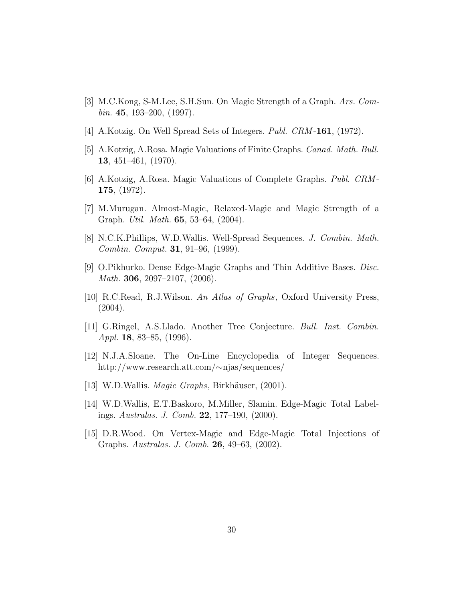- [3] M.C.Kong, S-M.Lee, S.H.Sun. On Magic Strength of a Graph. *Ars. Combin.* **45**, 193–200, (1997).
- [4] A.Kotzig. On Well Spread Sets of Integers. *Publ. CRM* -**161**, (1972).
- [5] A.Kotzig, A.Rosa. Magic Valuations of Finite Graphs. *Canad. Math. Bull.* **13**, 451–461, (1970).
- [6] A.Kotzig, A.Rosa. Magic Valuations of Complete Graphs. *Publ. CRM* **175**, (1972).
- [7] M.Murugan. Almost-Magic, Relaxed-Magic and Magic Strength of a Graph. *Util. Math.* **65**, 53–64, (2004).
- [8] N.C.K.Phillips, W.D.Wallis. Well-Spread Sequences. *J. Combin. Math. Combin. Comput.* **31**, 91–96, (1999).
- [9] O.Pikhurko. Dense Edge-Magic Graphs and Thin Additive Bases. *Disc. Math.* **306**, 2097–2107, (2006).
- [10] R.C.Read, R.J.Wilson. *An Atlas of Graphs*, Oxford University Press,  $(2004).$
- [11] G.Ringel, A.S.Llado. Another Tree Conjecture. *Bull. Inst. Combin. Appl.* **18**, 83–85, (1996).
- [12] N.J.A.Sloane. The On-Line Encyclopedia of Integer Sequences. http://www.research.att.com/∼njas/sequences/
- [13] W.D.Wallis. *Magic Graphs*, Birkhäuser, (2001).
- [14] W.D.Wallis, E.T.Baskoro, M.Miller, Slamin. Edge-Magic Total Labelings. *Australas. J. Comb.* **22**, 177–190, (2000).
- [15] D.R.Wood. On Vertex-Magic and Edge-Magic Total Injections of Graphs. *Australas. J. Comb.* **26**, 49–63, (2002).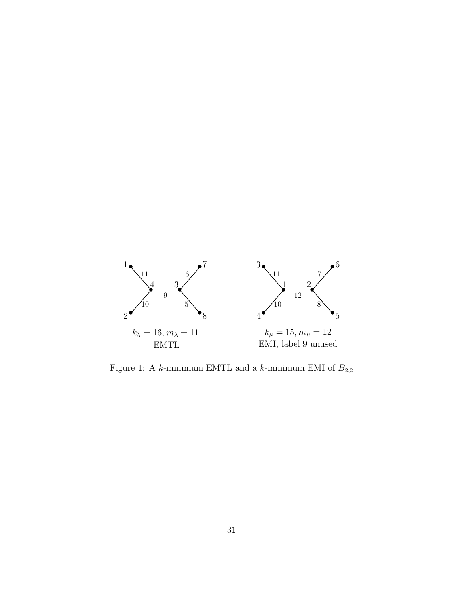

Figure 1: A  $k\text{-minimum EMTL}$  and a  $k\text{-minimum EMTM}$  of  $B_{2,2}$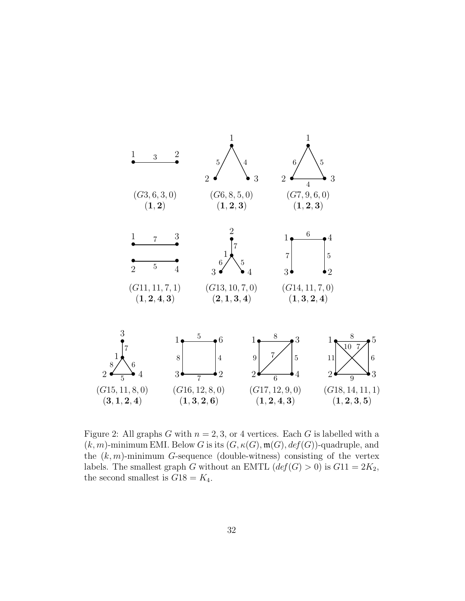

Figure 2: All graphs *G* with  $n = 2, 3$ , or 4 vertices. Each *G* is labelled with a  $(k,m)$ -minimum EMI. Below *G* is its  $(G, \kappa(G), \mathfrak{m}(G), \text{def}(G))$ -quadruple, and the  $(k, m)$ -minimum *G*-sequence (double-witness) consisting of the vertex labels. The smallest graph *G* without an EMTL  $\left(\text{def}(G) > 0\right)$  is  $G11 = 2K_2$ , the second smallest is  $G18 = K_4$ .